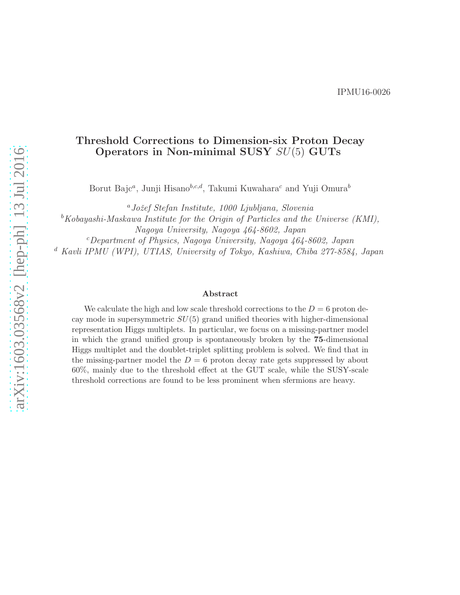### Threshold Corrections to Dimension-six Proton Decay Operators in Non-minimal SUSY SU(5) GUTs

Borut Bajc<sup>a</sup>, Junji Hisano<sup>b,c,d</sup>, Takumi Kuwahara<sup>c</sup> and Yuji Omura<sup>b</sup>

<sup>a</sup>*Joˇzef Stefan Institute, 1000 Ljubljana, Slovenia*

<sup>b</sup>*Kobayashi-Maskawa Institute for the Origin of Particles and the Universe (KMI),*

*Nagoya University, Nagoya 464-8602, Japan*

<sup>c</sup>*Department of Physics, Nagoya University, Nagoya 464-8602, Japan*

<sup>d</sup> *Kavli IPMU (WPI), UTIAS, University of Tokyo, Kashiwa, Chiba 277-8584, Japan*

#### Abstract

We calculate the high and low scale threshold corrections to the  $D = 6$  proton decay mode in supersymmetric  $SU(5)$  grand unified theories with higher-dimensional representation Higgs multiplets. In particular, we focus on a missing-partner model in which the grand unified group is spontaneously broken by the 75-dimensional Higgs multiplet and the doublet-triplet splitting problem is solved. We find that in the missing-partner model the  $D = 6$  proton decay rate gets suppressed by about 60%, mainly due to the threshold effect at the GUT scale, while the SUSY-scale threshold corrections are found to be less prominent when sfermions are heavy.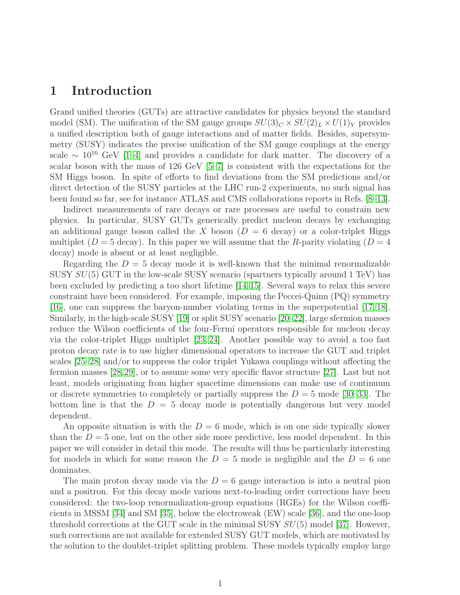## <span id="page-1-0"></span>1 Introduction

Grand unified theories (GUTs) are attractive candidates for physics beyond the standard model (SM). The unification of the SM gauge groups  $SU(3)_C \times SU(2)_L \times U(1)_Y$  provides a unified description both of gauge interactions and of matter fields. Besides, supersymmetry (SUSY) indicates the precise unification of the SM gauge couplings at the energy scale  $\sim 10^{16}$  GeV [\[1–](#page-23-0)[4\]](#page-23-1) and provides a candidate for dark matter. The discovery of a scalar boson with the mass of 126 GeV [\[5](#page-23-2)[–7\]](#page-23-3) is consistent with the expectations for the SM Higgs boson. In spite of efforts to find deviations from the SM predictions and/or direct detection of the SUSY particles at the LHC run-2 experiments, no such signal has been found so far, see for instance ATLAS and CMS collaborations reports in Refs. [\[8–](#page-23-4)[13\]](#page-24-0).

Indirect measurements of rare decays or rare processes are useful to constrain new physics. In particular, SUSY GUTs generically predict nucleon decays by exchanging an additional gauge boson called the X boson  $(D = 6$  decay) or a color-triplet Higgs multiplet  $(D = 5$  decay). In this paper we will assume that the R-parity violating  $(D = 4$ decay) mode is absent or at least negligible.

Regarding the  $D = 5$  decay mode it is well-known that the minimal renormalizable SUSY  $SU(5)$  GUT in the low-scale SUSY scenario (spartners typically around 1 TeV) has been excluded by predicting a too short lifetime [\[14,](#page-24-1)[15\]](#page-24-2). Several ways to relax this severe constraint have been considered. For example, imposing the Peccei-Quinn (PQ) symmetry [\[16\]](#page-24-3), one can suppress the baryon-number violating terms in the superpotential [\[17,](#page-24-4) [18\]](#page-24-5). Similarly, in the high-scale SUSY [\[19\]](#page-24-6) or split SUSY scenario [\[20–](#page-24-7)[22\]](#page-24-8), large sfermion masses reduce the Wilson coefficients of the four-Fermi operators responsible for nucleon decay via the color-triplet Higgs multiplet [\[23,](#page-24-9) [24\]](#page-24-10). Another possible way to avoid a too fast proton decay rate is to use higher dimensional operators to increase the GUT and triplet scales [\[25–](#page-24-11)[28\]](#page-25-0) and/or to suppress the color triplet Yukawa couplings without affecting the fermion masses [\[28,](#page-25-0)[29\]](#page-25-1), or to assume some very specific flavor structure [\[27\]](#page-25-2). Last but not least, models originating from higher spacetime dimensions can make use of continuum or discrete symmetries to completely or partially suppress the  $D = 5$  mode [\[30](#page-25-3)[–33\]](#page-25-4). The bottom line is that the  $D = 5$  decay mode is potentially dangerous but very model dependent.

An opposite situation is with the  $D = 6$  mode, which is on one side typically slower than the  $D = 5$  one, but on the other side more predictive, less model dependent. In this paper we will consider in detail this mode. The results will thus be particularly interesting for models in which for some reason the  $D = 5$  mode is negligible and the  $D = 6$  one dominates.

The main proton decay mode via the  $D = 6$  gauge interaction is into a neutral pion and a positron. For this decay mode various next-to-leading order corrections have been considered: the two-loop renormalization-group equations (RGEs) for the Wilson coefficients in MSSM [\[34\]](#page-25-5) and SM [\[35\]](#page-25-6), below the electroweak (EW) scale [\[36\]](#page-25-7), and the one-loop threshold corrections at the GUT scale in the minimal SUSY  $SU(5)$  model [\[37\]](#page-25-8). However, such corrections are not available for extended SUSY GUT models, which are motivated by the solution to the doublet-triplet splitting problem. These models typically employ large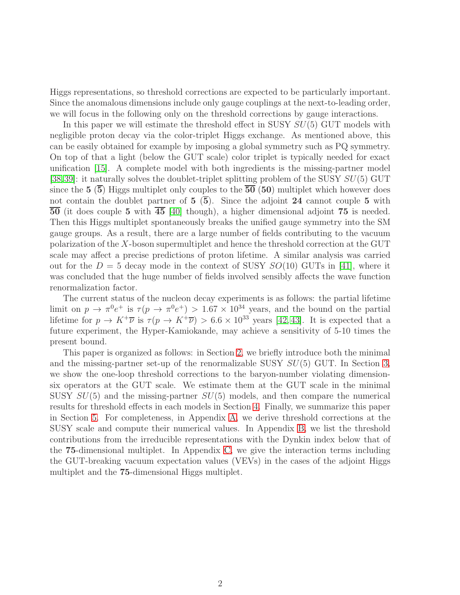Higgs representations, so threshold corrections are expected to be particularly important. Since the anomalous dimensions include only gauge couplings at the next-to-leading order, we will focus in the following only on the threshold corrections by gauge interactions.

In this paper we will estimate the threshold effect in SUSY  $SU(5)$  GUT models with negligible proton decay via the color-triplet Higgs exchange. As mentioned above, this can be easily obtained for example by imposing a global symmetry such as PQ symmetry. On top of that a light (below the GUT scale) color triplet is typically needed for exact unification [\[15\]](#page-24-2). A complete model with both ingredients is the missing-partner model [\[38,](#page-25-9)[39\]](#page-25-10): it naturally solves the doublet-triplet splitting problem of the SUSY  $SU(5)$  GUT since the  $5(5)$  Higgs multiplet only couples to the  $50(50)$  multiplet which however does not contain the doublet partner of  $5\,(5)$ . Since the adjoint 24 cannot couple 5 with  $\overline{50}$  (it does couple 5 with  $\overline{45}$  [\[40\]](#page-26-0) though), a higher dimensional adjoint 75 is needed. Then this Higgs multiplet spontaneously breaks the unified gauge symmetry into the SM gauge groups. As a result, there are a large number of fields contributing to the vacuum polarization of the X-boson supermultiplet and hence the threshold correction at the GUT scale may affect a precise predictions of proton lifetime. A similar analysis was carried out for the  $D = 5$  decay mode in the context of SUSY  $SO(10)$  GUTs in [\[41\]](#page-26-1), where it was concluded that the huge number of fields involved sensibly affects the wave function renormalization factor.

The current status of the nucleon decay experiments is as follows: the partial lifetime limit on  $p \to \pi^0 e^+$  is  $\tau(p \to \pi^0 e^+) > 1.67 \times 10^{34}$  years, and the bound on the partial lifetime for  $p \to K^+\overline{\nu}$  is  $\tau(p \to K^+\overline{\nu}) > 6.6 \times 10^{33}$  years [\[42,](#page-26-2) [43\]](#page-26-3). It is expected that a future experiment, the Hyper-Kamiokande, may achieve a sensitivity of 5-10 times the present bound.

This paper is organized as follows: in Section [2,](#page-3-0) we briefly introduce both the minimal and the missing-partner set-up of the renormalizable SUSY  $SU(5)$  GUT. In Section [3,](#page-6-0) we show the one-loop threshold corrections to the baryon-number violating dimensionsix operators at the GUT scale. We estimate them at the GUT scale in the minimal SUSY  $SU(5)$  and the missing-partner  $SU(5)$  models, and then compare the numerical results for threshold effects in each models in Section [4.](#page-10-0) Finally, we summarize this paper in Section [5.](#page-13-0) For completeness, in Appendix [A,](#page-15-0) we derive threshold corrections at the SUSY scale and compute their numerical values. In Appendix [B,](#page-19-0) we list the threshold contributions from the irreducible representations with the Dynkin index below that of the 75-dimensional multiplet. In Appendix [C,](#page-21-0) we give the interaction terms including the GUT-breaking vacuum expectation values (VEVs) in the cases of the adjoint Higgs multiplet and the 75-dimensional Higgs multiplet.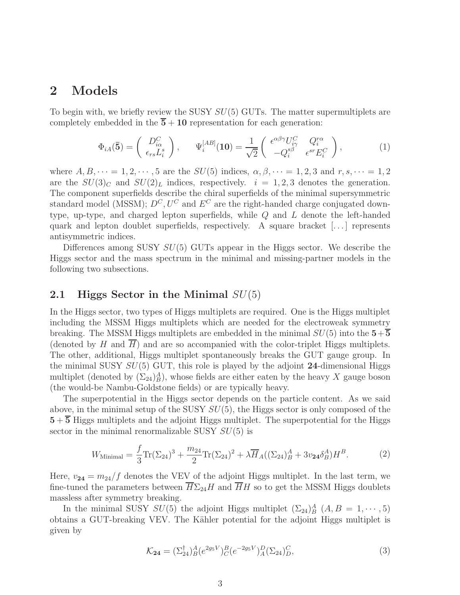### <span id="page-3-0"></span>2 Models

To begin with, we briefly review the SUSY  $SU(5)$  GUTs. The matter supermultiplets are completely embedded in the  $\overline{5} + 10$  representation for each generation:

$$
\Phi_{iA}(\mathbf{\bar{5}}) = \begin{pmatrix} D_{i\alpha}^C \\ \epsilon_{rs} L_i^s \end{pmatrix}, \qquad \Psi_i^{[AB]}(\mathbf{10}) = \frac{1}{\sqrt{2}} \begin{pmatrix} \epsilon^{\alpha\beta\gamma} U_{i\gamma}^C & Q_i^{r\alpha} \\ -Q_i^{s\beta} & \epsilon^{sr} E_i^C \end{pmatrix}, \tag{1}
$$

where  $A, B, \dots = 1, 2, \dots, 5$  are the  $SU(5)$  indices,  $\alpha, \beta, \dots = 1, 2, 3$  and  $r, s, \dots = 1, 2$ are the  $SU(3)_C$  and  $SU(2)_L$  indices, respectively.  $i = 1, 2, 3$  denotes the generation. The component superfields describe the chiral superfields of the minimal supersymmetric standard model (MSSM);  $D^{C}$ ,  $U^{C}$  and  $E^{C}$  are the right-handed charge conjugated downtype, up-type, and charged lepton superfields, while Q and L denote the left-handed quark and lepton doublet superfields, respectively. A square bracket  $[\dots]$  represents antisymmetric indices.

Differences among SUSY  $SU(5)$  GUTs appear in the Higgs sector. We describe the Higgs sector and the mass spectrum in the minimal and missing-partner models in the following two subsections.

#### 2.1 Higgs Sector in the Minimal  $SU(5)$

In the Higgs sector, two types of Higgs multiplets are required. One is the Higgs multiplet including the MSSM Higgs multiplets which are needed for the electroweak symmetry breaking. The MSSM Higgs multiplets are embedded in the minimal  $SU(5)$  into the  $5+5$ (denoted by  $H$  and  $H$ ) and are so accompanied with the color-triplet Higgs multiplets. The other, additional, Higgs multiplet spontaneously breaks the GUT gauge group. In the minimal SUSY  $SU(5)$  GUT, this role is played by the adjoint 24-dimensional Higgs multiplet (denoted by  $(\Sigma_{24})^A_B$ ), whose fields are either eaten by the heavy X gauge boson (the would-be Nambu-Goldstone fields) or are typically heavy.

The superpotential in the Higgs sector depends on the particle content. As we said above, in the minimal setup of the SUSY  $SU(5)$ , the Higgs sector is only composed of the  $5+\overline{5}$  Higgs multiplets and the adjoint Higgs multiplet. The superpotential for the Higgs sector in the minimal renormalizable SUSY  $SU(5)$  is

$$
W_{\text{Minimal}} = \frac{f}{3} \text{Tr}(\Sigma_{24})^3 + \frac{m_{24}}{2} \text{Tr}(\Sigma_{24})^2 + \lambda \overline{H}_A((\Sigma_{24})^A_B + 3v_{24}\delta^A_B)H^B. \tag{2}
$$

Here,  $v_{24} = m_{24}/f$  denotes the VEV of the adjoint Higgs multiplet. In the last term, we fine-tuned the parameters between  $H\Sigma_{24}H$  and  $HH$  so to get the MSSM Higgs doublets massless after symmetry breaking.

In the minimal SUSY  $SU(5)$  the adjoint Higgs multiplet  $(\Sigma_{24})^A_B$   $(A, B = 1, \dots, 5)$ obtains a GUT-breaking VEV. The Kähler potential for the adjoint Higgs multiplet is given by

$$
\mathcal{K}_{24} = (\Sigma_{24}^{\dagger})^A_B (e^{2g_5 V})^B_C (e^{-2g_5 V})^D_A (\Sigma_{24})^C_D,
$$
\n(3)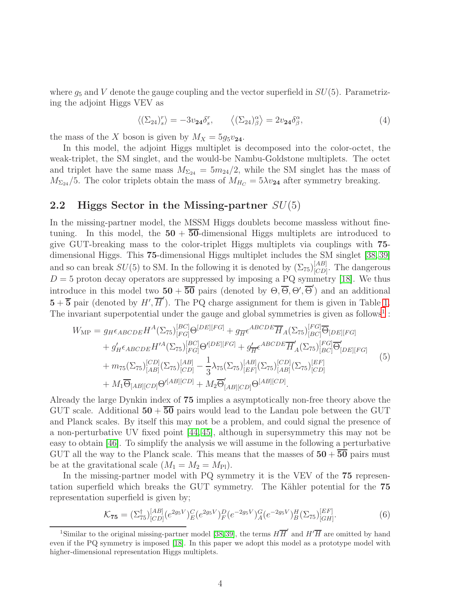where  $g_5$  and V denote the gauge coupling and the vector superfield in  $SU(5)$ . Parametrizing the adjoint Higgs VEV as

<span id="page-4-1"></span>
$$
\langle (\Sigma_{24})_s^r \rangle = -3v_{24}\delta_s^r, \qquad \langle (\Sigma_{24})_\beta^\alpha \rangle = 2v_{24}\delta_\beta^\alpha, \tag{4}
$$

the mass of the X boson is given by  $M_X = 5g_5v_{24}$ .

In this model, the adjoint Higgs multiplet is decomposed into the color-octet, the weak-triplet, the SM singlet, and the would-be Nambu-Goldstone multiplets. The octet and triplet have the same mass  $M_{\Sigma_{24}} = 5m_{24}/2$ , while the SM singlet has the mass of  $M_{\Sigma_{24}}/5$ . The color triplets obtain the mass of  $M_{H_C} = 5\lambda v_{24}$  after symmetry breaking.

### 2.2 Higgs Sector in the Missing-partner  $SU(5)$

In the missing-partner model, the MSSM Higgs doublets become massless without finetuning. In this model, the  $50 + \overline{50}$ -dimensional Higgs multiplets are introduced to give GUT-breaking mass to the color-triplet Higgs multiplets via couplings with 75 dimensional Higgs. This 75-dimensional Higgs multiplet includes the SM singlet [\[38,](#page-25-9) [39\]](#page-25-10) and so can break  $SU(5)$  to SM. In the following it is denoted by  $(\Sigma_{75})^{[AB]}_{[CD]}$  $[CD]$ . The dangerous  $D = 5$  proton decay operators are suppressed by imposing a PQ symmetry [\[18\]](#page-24-5). We thus introduce in this model two  $50 + \overline{50}$  pairs (denoted by  $\Theta$ ,  $\overline{\Theta}$ ,  $\Theta'$ ,  $\overline{\Theta}'$ ) and an additional  $5+\overline{5}$  pair (denoted by  $H', \overline{H}'$ ). The PQ charge assignment for them is given in Table [1.](#page-5-0) The invariant superpotential under the gauge and global symmetries is given as follows<sup>[1](#page-4-0)</sup>:

$$
W_{\text{MP}} = g_{H} \epsilon_{ABCDE} H^{A} (\Sigma_{75})_{[FG]}^{[BC]} \Theta^{[DE][FG]} + g_{\overline{H}} \epsilon^{ABCDE} \overline{H}_{A} (\Sigma_{75})_{[BC]}^{[FG]} \overline{\Theta}_{[DE][FG]} + g'_{H} \epsilon_{ABCDE} H'^{A} (\Sigma_{75})_{[FG]}^{[BC]} \Theta'^{[DE][FG]} + g'_{\overline{H}} \epsilon^{ABCDE} \overline{H}'_{A} (\Sigma_{75})_{[BC]}^{[FG]} \overline{\Theta}'_{[DE][FG]} + m_{75} (\Sigma_{75})_{[AB]}^{[CD]} (\Sigma_{75})_{[CD]}^{[AB]} - \frac{1}{3} \lambda_{75} (\Sigma_{75})_{[EF]}^{[AB]} (\Sigma_{75})_{[AB]}^{[CD]} (\Sigma_{75})_{[CD]}^{[EF]} + M_{1} \overline{\Theta}_{[AB][CD]} \Theta'^{[AB][CD]} + M_{2} \overline{\Theta}'_{[AB][CD]} \Theta^{[AB][CD]}.
$$
\n(5)

Already the large Dynkin index of 75 implies a asymptotically non-free theory above the GUT scale. Additional  $50 + 50$  pairs would lead to the Landau pole between the GUT and Planck scales. By itself this may not be a problem, and could signal the presence of a non-perturbative UV fixed point [\[44,](#page-26-4) [45\]](#page-26-5), although in supersymmetry this may not be easy to obtain [\[46\]](#page-26-6). To simplify the analysis we will assume in the following a perturbative GUT all the way to the Planck scale. This means that the masses of  $50 + 50$  pairs must be at the gravitational scale  $(M_1 = M_2 = M_{\text{Pl}})$ .

In the missing-partner model with PQ symmetry it is the VEV of the 75 representation superfield which breaks the GUT symmetry. The Kähler potential for the 75 representation superfield is given by;

$$
\mathcal{K}_{\mathbf{75}} = (\Sigma_{75}^{\dagger})_{[CD]}^{[AB]} (e^{2g_5 V})_E^C (e^{2g_5 V})_F^D (e^{-2g_5 V})_A^G (e^{-2g_5 V})_B^H (\Sigma_{75})_{[GH]}^{[EF]}.
$$
 (6)

<span id="page-4-0"></span><sup>&</sup>lt;sup>1</sup>Similar to the original missing-partner model [\[38,](#page-25-9) [39\]](#page-25-10), the terms  $H\overline{H}'$  and  $H'\overline{H}$  are omitted by hand even if the PQ symmetry is imposed [\[18\]](#page-24-5). In this paper we adopt this model as a prototype model with higher-dimensional representation Higgs multiplets.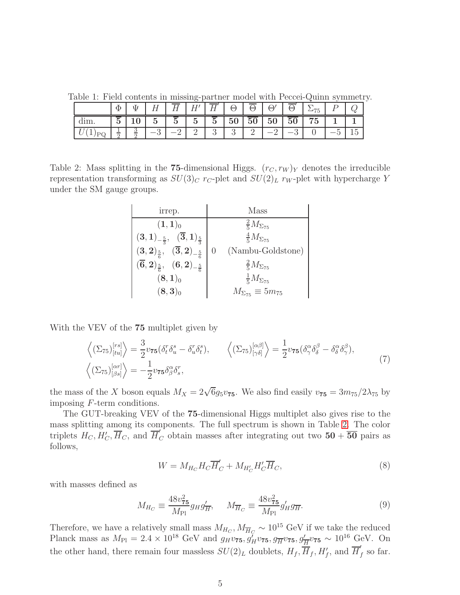Table 1: Field contents in missing-partner model with Peccei-Quinn symmetry.

<span id="page-5-0"></span>

| Φ      |   | н              |              | T<br>H′        |                 | $\Theta$ | $\Theta$ | $\Theta$ |                 | '75 |                          |  |
|--------|---|----------------|--------------|----------------|-----------------|----------|----------|----------|-----------------|-----|--------------------------|--|
| К<br>U |   | $\overline{5}$ | $\mathbf{D}$ | $\overline{5}$ | $5\overline{)}$ | 50       | $50 -$   | 50       | 50 <sup>1</sup> | 75  |                          |  |
|        | υ |                |              |                |                 | ູບ       | ∸        |          |                 |     | $\overline{\phantom{0}}$ |  |

<span id="page-5-1"></span>Table 2: Mass splitting in the 75-dimensional Higgs.  $(r_C, r_W)_Y$  denotes the irreducible representation transforming as  $SU(3)_C$  r<sub>C</sub>-plet and  $SU(2)_L$  r<sub>W</sub>-plet with hypercharge Y under the SM gauge groups.

| irrep.                                                                                           | Mass                                  |
|--------------------------------------------------------------------------------------------------|---------------------------------------|
| $(1,1)$ <sub>0</sub>                                                                             | $\frac{2}{5}M_{\Sigma_{75}}$          |
| $(\mathbf{3}, \mathbf{1})_{-\frac{5}{3}}, \ \ (\overline{\mathbf{3}}, \mathbf{1})_{\frac{5}{3}}$ | $\frac{4}{5}M_{\Sigma_{75}}$          |
| $(3,2)_{\frac{5}{6}}, \ \ (\overline{3},2)_{-\frac{5}{6}}$                                       | (Nambu-Goldstone)<br>$\left( \right)$ |
| $(\overline{6},2)_{\frac{5}{6}}, (6,2)_{-\frac{5}{6}}$                                           | $\frac{2}{5}M_{\Sigma_{75}}$          |
| $(8,1)_{0}$                                                                                      | $\frac{1}{5}M_{\Sigma_{75}}$          |
| $(8,3)$ <sub>0</sub>                                                                             | $M_{\Sigma_{75}} \equiv 5m_{75}$      |

With the VEV of the 75 multiplet given by

<span id="page-5-2"></span>
$$
\left\langle (\Sigma_{75})^{[rs]}_{[tu]} \right\rangle = \frac{3}{2} v_{75} (\delta_t^r \delta_u^s - \delta_u^r \delta_t^s), \qquad \left\langle (\Sigma_{75})^{[\alpha\beta]}_{[\gamma\delta]} \right\rangle = \frac{1}{2} v_{75} (\delta_\gamma^\alpha \delta_\delta^\beta - \delta_\delta^\alpha \delta_\gamma^\beta), \left\langle (\Sigma_{75})^{[\alpha r]}_{[\beta s]} \right\rangle = -\frac{1}{2} v_{75} \delta_\beta^\alpha \delta_s^r,
$$
\n(7)

the mass of the X boson equals  $M_X = 2\sqrt{6}g_5v_{75}$ . We also find easily  $v_{75} = 3m_{75}/2\lambda_{75}$  by imposing F-term conditions.

The GUT-breaking VEV of the 75-dimensional Higgs multiplet also gives rise to the mass splitting among its components. The full spectrum is shown in Table [2.](#page-5-1) The color triplets  $H_C$ ,  $H'_C$ ,  $\overline{H}_C$ , and  $\overline{H}'_C$  obtain masses after integrating out two  $50 + 50$  pairs as follows,

$$
W = M_{H_C} H_C \overline{H}'_C + M_{H'_C} H'_C \overline{H}_C, \tag{8}
$$

with masses defined as

$$
M_{H_C} \equiv \frac{48v_{75}^2}{M_{\text{Pl}}} g_H g'_{\overline{H}}, \qquad M_{\overline{H}_C} \equiv \frac{48v_{75}^2}{M_{\text{Pl}}} g'_H g_{\overline{H}}.
$$
(9)

Therefore, we have a relatively small mass  $M_{H_C}$ ,  $M_{\overline{H}_C} \sim 10^{15}$  GeV if we take the reduced Planck mass as  $M_{\text{Pl}} = 2.4 \times 10^{18} \text{ GeV}$  and  $g_H v_{75}, g_H^{\gamma} v_{75}, g_H^{\gamma} v_{75}, g_H^{\gamma} v_{75} \sim 10^{16} \text{ GeV}$ . On the other hand, there remain four massless  $SU(2)_L$  doublets,  $H_f$ ,  $\overline{H}_f$ ,  $H'_f$ , and  $\overline{H}'_f$  $\int f$  so far.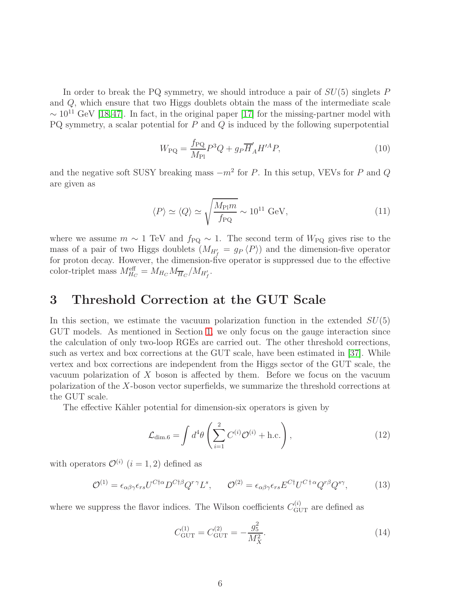In order to break the PQ symmetry, we should introduce a pair of  $SU(5)$  singlets P and Q, which ensure that two Higgs doublets obtain the mass of the intermediate scale  $\sim 10^{11}$  GeV [\[18,](#page-24-5)[47\]](#page-26-7). In fact, in the original paper [\[17\]](#page-24-4) for the missing-partner model with PQ symmetry, a scalar potential for  $P$  and  $Q$  is induced by the following superpotential

$$
W_{\rm PQ} = \frac{f_{\rm PQ}}{M_{\rm Pl}} P^3 Q + g_P \overline{H}'_A H'^A P,\tag{10}
$$

and the negative soft SUSY breaking mass  $-m^2$  for P. In this setup, VEVs for P and Q are given as

$$
\langle P \rangle \simeq \langle Q \rangle \simeq \sqrt{\frac{M_{\rm Pl}m}{f_{\rm PQ}}} \sim 10^{11} \text{ GeV},\tag{11}
$$

where we assume  $m \sim 1$  TeV and  $f_{PQ} \sim 1$ . The second term of  $W_{PQ}$  gives rise to the mass of a pair of two Higgs doublets  $(M_{H'_{f}} = g_{P} \langle P \rangle)$  and the dimension-five operator for proton decay. However, the dimension-five operator is suppressed due to the effective color-triplet mass  $M_{H_C}^{\text{eff}} = M_{H_C} M_{\overline{H}_C} / M_{H'_f}$ .

# <span id="page-6-0"></span>3 Threshold Correction at the GUT Scale

In this section, we estimate the vacuum polarization function in the extended  $SU(5)$ GUT models. As mentioned in Section [1,](#page-1-0) we only focus on the gauge interaction since the calculation of only two-loop RGEs are carried out. The other threshold corrections, such as vertex and box corrections at the GUT scale, have been estimated in [\[37\]](#page-25-8). While vertex and box corrections are independent from the Higgs sector of the GUT scale, the vacuum polarization of X boson is affected by them. Before we focus on the vacuum polarization of the X-boson vector superfields, we summarize the threshold corrections at the GUT scale.

The effective Kähler potential for dimension-six operators is given by

<span id="page-6-1"></span>
$$
\mathcal{L}_{\text{dim.6}} = \int d^4\theta \left( \sum_{i=1}^2 C^{(i)} \mathcal{O}^{(i)} + \text{h.c.} \right),\tag{12}
$$

with operators  $\mathcal{O}^{(i)}$   $(i = 1, 2)$  defined as

$$
\mathcal{O}^{(1)} = \epsilon_{\alpha\beta\gamma}\epsilon_{rs}U^{C\dagger\alpha}D^{C\dagger\beta}Q^{r\,\gamma}L^s, \qquad \mathcal{O}^{(2)} = \epsilon_{\alpha\beta\gamma}\epsilon_{rs}E^{C\dagger}U^{C\dagger\alpha}Q^{r\beta}Q^{s\gamma}, \tag{13}
$$

where we suppress the flavor indices. The Wilson coefficients  $C_{\text{GUT}}^{(i)}$  are defined as

$$
C_{\rm GUT}^{(1)} = C_{\rm GUT}^{(2)} = -\frac{g_5^2}{M_X^2}.\tag{14}
$$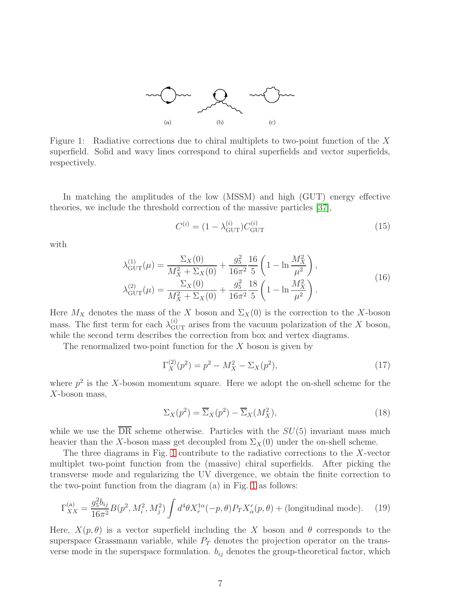

<span id="page-7-0"></span>Figure 1: Radiative corrections due to chiral multiplets to two-point function of the X superfield. Solid and wavy lines correspond to chiral superfields and vector superfields, respectively.

In matching the amplitudes of the low (MSSM) and high (GUT) energy effective theories, we include the threshold correction of the massive particles [\[37\]](#page-25-8),

$$
C^{(i)} = (1 - \lambda_{\text{GUT}}^{(i)}) C_{\text{GUT}}^{(i)}
$$
\n(15)

with

$$
\lambda_{\text{GUT}}^{(1)}(\mu) = \frac{\Sigma_X(0)}{M_X^2 + \Sigma_X(0)} + \frac{g_5^2}{16\pi^2} \frac{16}{5} \left( 1 - \ln \frac{M_X^2}{\mu^2} \right),
$$
  
\n
$$
\lambda_{\text{GUT}}^{(2)}(\mu) = \frac{\Sigma_X(0)}{M_X^2 + \Sigma_X(0)} + \frac{g_5^2}{16\pi^2} \frac{18}{5} \left( 1 - \ln \frac{M_X^2}{\mu^2} \right).
$$
\n(16)

Here  $M_X$  denotes the mass of the X boson and  $\Sigma_X(0)$  is the correction to the X-boson mass. The first term for each  $\lambda_{\text{GUT}}^{(i)}$  arises from the vacuum polarization of the X boson, while the second term describes the correction from box and vertex diagrams.

The renormalized two-point function for the  $X$  boson is given by

$$
\Gamma_X^{(2)}(p^2) = p^2 - M_X^2 - \Sigma_X(p^2),\tag{17}
$$

where  $p^2$  is the X-boson momentum square. Here we adopt the on-shell scheme for the  $X$ -boson mass,

$$
\Sigma_X(p^2) = \overline{\Sigma}_X(p^2) - \overline{\Sigma}_X(M_X^2),\tag{18}
$$

while we use the  $\overline{DR}$  scheme otherwise. Particles with the  $SU(5)$  invariant mass much heavier than the X-boson mass get decoupled from  $\Sigma_X(0)$  under the on-shell scheme.

The three diagrams in Fig. [1](#page-7-0) contribute to the radiative corrections to the X-vector multiplet two-point function from the (massive) chiral superfields. After picking the transverse mode and regularizing the UV divergence, we obtain the finite correction to the two-point function from the diagram (a) in Fig. [1](#page-7-0) as follows:

$$
\Gamma_{XX}^{(\text{a})} = \frac{g_5^2 b_{ij}}{16\pi^2} B(p^2, M_i^2, M_j^2) \int d^4\theta X_r^{\dagger\alpha}(-p, \theta) P_T X_\alpha^r(p, \theta) + \text{(longitudinal mode)}.
$$
 (19)

Here,  $X(p, \theta)$  is a vector superfield including the X boson and  $\theta$  corresponds to the superspace Grassmann variable, while  $P_T$  denotes the projection operator on the transverse mode in the superspace formulation.  $b_{ij}$  denotes the group-theoretical factor, which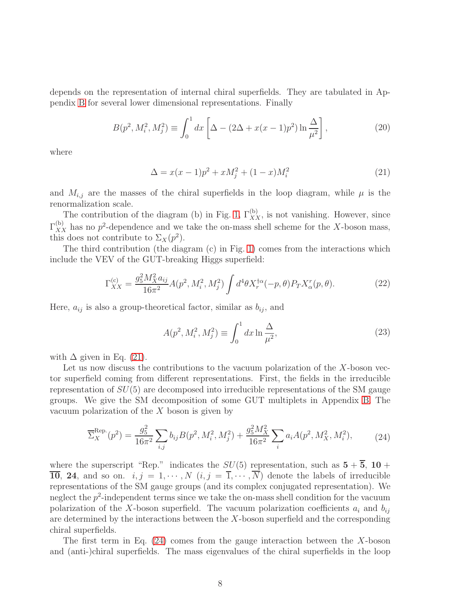depends on the representation of internal chiral superfields. They are tabulated in Appendix [B](#page-19-0) for several lower dimensional representations. Finally

$$
B(p^2, M_i^2, M_j^2) \equiv \int_0^1 dx \left[ \Delta - (2\Delta + x(x-1)p^2) \ln \frac{\Delta}{\mu^2} \right],
$$
 (20)

<span id="page-8-0"></span>where

$$
\Delta = x(x-1)p^2 + xM_j^2 + (1-x)M_i^2 \tag{21}
$$

and  $M_{i,j}$  are the masses of the chiral superfields in the loop diagram, while  $\mu$  is the renormalization scale.

The contribution of the diagram (b) in Fig. [1,](#page-7-0)  $\Gamma_{XX}^{(b)}$ , is not vanishing. However, since  $\Gamma_{XX}^{(b)}$  has no  $p^2$ -dependence and we take the on-mass shell scheme for the X-boson mass, this does not contribute to  $\Sigma_X(p^2)$ .

The third contribution (the diagram (c) in Fig. [1\)](#page-7-0) comes from the interactions which include the VEV of the GUT-breaking Higgs superfield:

$$
\Gamma_{XX}^{(c)} = \frac{g_5^2 M_X^2 a_{ij}}{16\pi^2} A(p^2, M_i^2, M_j^2) \int d^4\theta X_r^{\dagger\alpha}(-p, \theta) P_T X_\alpha^r(p, \theta). \tag{22}
$$

Here,  $a_{ij}$  is also a group-theoretical factor, similar as  $b_{ij}$ , and

<span id="page-8-1"></span>
$$
A(p^2, M_i^2, M_j^2) \equiv \int_0^1 dx \ln \frac{\Delta}{\mu^2},
$$
\n(23)

with  $\Delta$  given in Eq. [\(21\)](#page-8-0).

Let us now discuss the contributions to the vacuum polarization of the X-boson vector superfield coming from different representations. First, the fields in the irreducible representation of  $SU(5)$  are decomposed into irreducible representations of the SM gauge groups. We give the SM decomposition of some GUT multiplets in Appendix [B.](#page-19-0) The vacuum polarization of the  $X$  boson is given by

$$
\overline{\Sigma}_{X}^{\text{Rep.}}(p^2) = \frac{g_5^2}{16\pi^2} \sum_{i,j} b_{ij} B(p^2, M_i^2, M_j^2) + \frac{g_5^2 M_X^2}{16\pi^2} \sum_i a_i A(p^2, M_X^2, M_i^2),\tag{24}
$$

where the superscript "Rep." indicates the  $SU(5)$  representation, such as  $5 + \overline{5}$ , 10 +  $\overline{10}$ , 24, and so on.  $i, j = 1, \dots, N$   $(i, j = \overline{1}, \dots, \overline{N})$  denote the labels of irreducible representations of the SM gauge groups (and its complex conjugated representation). We neglect the  $p^2$ -independent terms since we take the on-mass shell condition for the vacuum polarization of the X-boson superfield. The vacuum polarization coefficients  $a_i$  and  $b_{ij}$ are determined by the interactions between the  $X$ -boson superfield and the corresponding chiral superfields.

The first term in Eq.  $(24)$  comes from the gauge interaction between the X-boson and (anti-)chiral superfields. The mass eigenvalues of the chiral superfields in the loop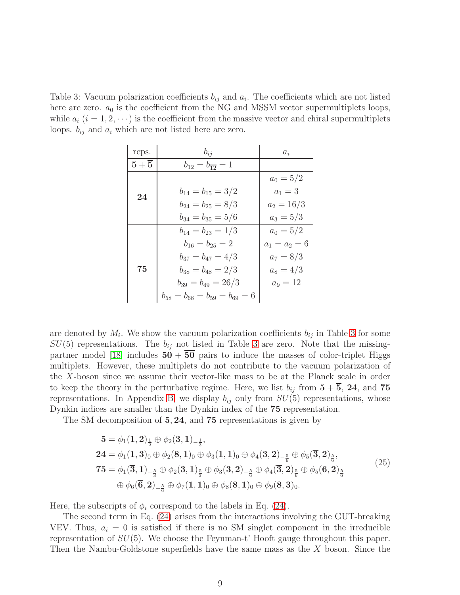<span id="page-9-0"></span>Table 3: Vacuum polarization coefficients  $b_{ij}$  and  $a_i$ . The coefficients which are not listed here are zero.  $a_0$  is the coefficient from the NG and MSSM vector supermultiplets loops, while  $a_i$   $(i = 1, 2, \dots)$  is the coefficient from the massive vector and chiral supermultiplets loops.  $b_{ij}$  and  $a_i$  which are not listed here are zero.

| reps.            | $b_{ij}$                                | $a_i$           |
|------------------|-----------------------------------------|-----------------|
| $5+\overline{5}$ | $b_{12} = b_{\overline{12}} = 1$        |                 |
|                  |                                         | $a_0 = 5/2$     |
| 24               | $b_{14}=b_{15}=3/2$                     | $a_1 = 3$       |
|                  | $b_{24}=b_{25}=8/3$                     | $a_2 = 16/3$    |
|                  | $b_{34} = b_{35} = 5/6$                 | $a_3 = 5/3$     |
|                  | $b_{14} = b_{23} = 1/3$                 | $a_0 = 5/2$     |
| 75               | $b_{16}=b_{25}=2$                       | $a_1 = a_2 = 6$ |
|                  | $b_{37} = b_{47} = 4/3$                 | $a_7 = 8/3$     |
|                  | $b_{38} = b_{48} = 2/3$                 | $a_8 = 4/3$     |
|                  | $b_{39} = b_{49} = 26/3$                | $a_9 = 12$      |
|                  | $b_{58} = b_{68} = b_{59} = b_{69} = 6$ |                 |

are denoted by  $M_i$ . We show the vacuum polarization coefficients  $b_{ij}$  in Table [3](#page-9-0) for some  $SU(5)$  representations. The  $b_{ij}$  not listed in Table [3](#page-9-0) are zero. Note that the missing-partner model [\[18\]](#page-24-5) includes  $50 + 50$  pairs to induce the masses of color-triplet Higgs multiplets. However, these multiplets do not contribute to the vacuum polarization of the X-boson since we assume their vector-like mass to be at the Planck scale in order to keep the theory in the perturbative regime. Here, we list  $b_{ij}$  from  $5 + \overline{5}$ , 24, and 75 representations. In Appendix [B,](#page-19-0) we display  $b_{ij}$  only from  $SU(5)$  representations, whose Dynkin indices are smaller than the Dynkin index of the 75 representation.

The SM decomposition of 5, 24, and 75 representations is given by

$$
5 = \phi_1(1,2)_{\frac{1}{2}} \oplus \phi_2(3,1)_{-\frac{1}{3}},
$$
  
\n
$$
24 = \phi_1(1,3)_0 \oplus \phi_2(8,1)_0 \oplus \phi_3(1,1)_0 \oplus \phi_4(3,2)_{-\frac{5}{6}} \oplus \phi_5(\overline{3},2)_{\frac{5}{6}},
$$
  
\n
$$
75 = \phi_1(\overline{3},1)_{-\frac{5}{3}} \oplus \phi_2(3,1)_{\frac{5}{3}} \oplus \phi_3(3,2)_{-\frac{5}{6}} \oplus \phi_4(\overline{3},2)_{\frac{5}{6}} \oplus \phi_5(6,2)_{\frac{5}{6}} \oplus \phi_6(\overline{6},2)_{-\frac{5}{6}} \oplus \phi_7(1,1)_0 \oplus \phi_8(8,1)_0 \oplus \phi_9(8,3)_0.
$$
\n
$$
(25)
$$

Here, the subscripts of  $\phi_i$  correspond to the labels in Eq. [\(24\)](#page-8-1).

The second term in Eq. [\(24\)](#page-8-1) arises from the interactions involving the GUT-breaking VEV. Thus,  $a_i = 0$  is satisfied if there is no SM singlet component in the irreducible representation of  $SU(5)$ . We choose the Feynman-t' Hooft gauge throughout this paper. Then the Nambu-Goldstone superfields have the same mass as the X boson. Since the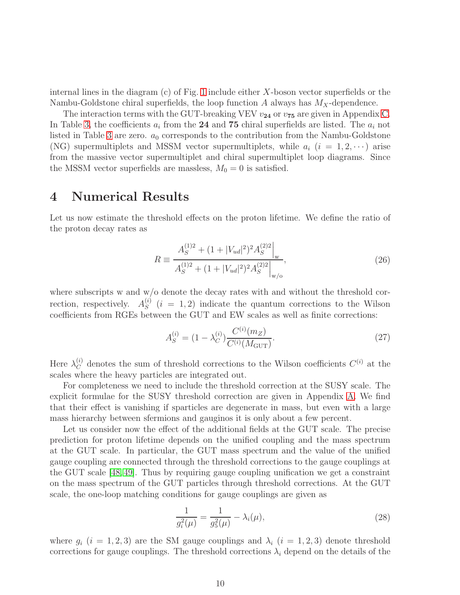internal lines in the diagram (c) of Fig. [1](#page-7-0) include either X-boson vector superfields or the Nambu-Goldstone chiral superfields, the loop function A always has  $M_X$ -dependence.

The interaction terms with the GUT-breaking VEV  $v_{24}$  or  $v_{75}$  are given in Appendix [C.](#page-21-0) In Table [3,](#page-9-0) the coefficients  $a_i$  from the 24 and 75 chiral superfields are listed. The  $a_i$  not listed in Table [3](#page-9-0) are zero.  $a_0$  corresponds to the contribution from the Nambu-Goldstone (NG) supermultiplets and MSSM vector supermultiplets, while  $a_i$   $(i = 1, 2, \cdots)$  arise from the massive vector supermultiplet and chiral supermultiplet loop diagrams. Since the MSSM vector superfields are massless,  $M_0 = 0$  is satisfied.

## <span id="page-10-0"></span>4 Numerical Results

Let us now estimate the threshold effects on the proton lifetime. We define the ratio of the proton decay rates as

<span id="page-10-3"></span>
$$
R \equiv \frac{A_S^{(1)2} + (1 + |V_{ud}|^2)^2 A_S^{(2)2}|_{\mathbf{w}}}{A_S^{(1)2} + (1 + |V_{ud}|^2)^2 A_S^{(2)2}|_{\mathbf{w}/\mathbf{o}}},\tag{26}
$$

where subscripts w and w/o denote the decay rates with and without the threshold correction, respectively.  $A_S^{(i)}$  $S<sub>S</sub>$  (i = 1, 2) indicate the quantum corrections to the Wilson coefficients from RGEs between the GUT and EW scales as well as finite corrections:

<span id="page-10-2"></span>
$$
A_S^{(i)} = (1 - \lambda_C^{(i)}) \frac{C^{(i)}(m_Z)}{C^{(i)}(M_{\text{GUT}})}.
$$
\n(27)

Here  $\lambda_C^{(i)}$  denotes the sum of threshold corrections to the Wilson coefficients  $C^{(i)}$  at the scales where the heavy particles are integrated out.

For completeness we need to include the threshold correction at the SUSY scale. The explicit formulae for the SUSY threshold correction are given in Appendix [A.](#page-15-0) We find that their effect is vanishing if sparticles are degenerate in mass, but even with a large mass hierarchy between sfermions and gauginos it is only about a few percent.

Let us consider now the effect of the additional fields at the GUT scale. The precise prediction for proton lifetime depends on the unified coupling and the mass spectrum at the GUT scale. In particular, the GUT mass spectrum and the value of the unified gauge coupling are connected through the threshold corrections to the gauge couplings at the GUT scale [\[48,](#page-26-8) [49\]](#page-26-9). Thus by requiring gauge coupling unification we get a constraint on the mass spectrum of the GUT particles through threshold corrections. At the GUT scale, the one-loop matching conditions for gauge couplings are given as

<span id="page-10-1"></span>
$$
\frac{1}{g_i^2(\mu)} = \frac{1}{g_5^2(\mu)} - \lambda_i(\mu),\tag{28}
$$

where  $g_i$   $(i = 1, 2, 3)$  are the SM gauge couplings and  $\lambda_i$   $(i = 1, 2, 3)$  denote threshold corrections for gauge couplings. The threshold corrections  $\lambda_i$  depend on the details of the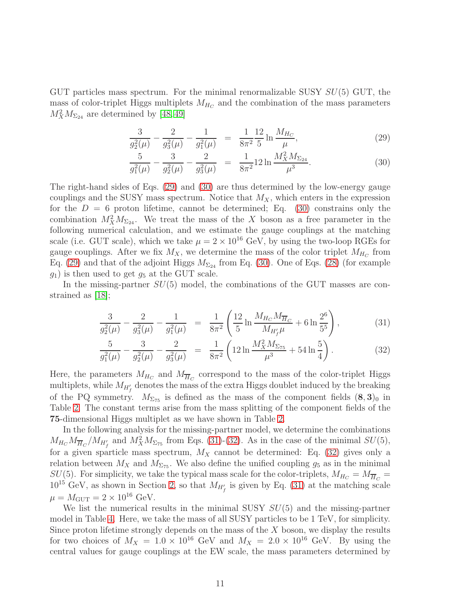GUT particles mass spectrum. For the minimal renormalizable SUSY  $SU(5)$  GUT, the mass of color-triplet Higgs multiplets  $M_{H_C}$  and the combination of the mass parameters  $M_X^2 M_{\Sigma_{24}}$  are determined by [\[48,](#page-26-8) [49\]](#page-26-9)

<span id="page-11-0"></span>
$$
\frac{3}{g_2^2(\mu)} - \frac{2}{g_3^2(\mu)} - \frac{1}{g_1^2(\mu)} = \frac{1}{8\pi^2} \frac{12}{5} \ln \frac{M_{H_C}}{\mu},\tag{29}
$$

$$
\frac{5}{g_1^2(\mu)} - \frac{3}{g_2^2(\mu)} - \frac{2}{g_3^2(\mu)} = \frac{1}{8\pi^2} 12 \ln \frac{M_X^2 M_{\Sigma_{24}}}{\mu^3}.
$$
 (30)

The right-hand sides of Eqs. [\(29\)](#page-11-0) and [\(30\)](#page-11-0) are thus determined by the low-energy gauge couplings and the SUSY mass spectrum. Notice that  $M_X$ , which enters in the expression for the  $D = 6$  proton lifetime, cannot be determined; Eq. [\(30\)](#page-11-0) constrains only the combination  $M_X^2 M_{\Sigma_{24}}$ . We treat the mass of the X boson as a free parameter in the following numerical calculation, and we estimate the gauge couplings at the matching scale (i.e. GUT scale), which we take  $\mu = 2 \times 10^{16}$  GeV, by using the two-loop RGEs for gauge couplings. After we fix  $M_X$ , we determine the mass of the color triplet  $M_{H_C}$  from Eq. [\(29\)](#page-11-0) and that of the adjoint Higgs  $M_{\Sigma_{24}}$  from Eq. [\(30\)](#page-11-0). One of Eqs. [\(28\)](#page-10-1) (for example  $g_1$ ) is then used to get  $g_5$  at the GUT scale.

In the missing-partner  $SU(5)$  model, the combinations of the GUT masses are constrained as [\[18\]](#page-24-5);

<span id="page-11-1"></span>
$$
\frac{3}{g_2^2(\mu)} - \frac{2}{g_3^2(\mu)} - \frac{1}{g_1^2(\mu)} = \frac{1}{8\pi^2} \left( \frac{12}{5} \ln \frac{M_{H_C} M_{\overline{H}_C}}{M_{H'_f} \mu} + 6 \ln \frac{2^6}{5^5} \right),\tag{31}
$$

$$
\frac{5}{g_1^2(\mu)} - \frac{3}{g_2^2(\mu)} - \frac{2}{g_3^2(\mu)} = \frac{1}{8\pi^2} \left( 12 \ln \frac{M_X^2 M_{\Sigma_{75}}}{\mu^3} + 54 \ln \frac{5}{4} \right). \tag{32}
$$

Here, the parameters  $M_{H_C}$  and  $M_{\overline{H}_C}$  correspond to the mass of the color-triplet Higgs multiplets, while  $M_{H'_f}$  denotes the mass of the extra Higgs doublet induced by the breaking of the PQ symmetry.  $M_{\Sigma_{75}}$  is defined as the mass of the component fields  $(8,3)_0$  in Table [2.](#page-5-1) The constant terms arise from the mass splitting of the component fields of the 75-dimensional Higgs multiplet as we have shown in Table [2.](#page-5-1)

In the following analysis for the missing-partner model, we determine the combinations  $M_{H_C} M_{\overline{H}_C} / M_{H'_f}$  and  $M_X^2 M_{\Sigma_{75}}$  from Eqs. [\(31\)](#page-11-1)-[\(32\)](#page-11-1). As in the case of the minimal  $SU(5)$ , for a given sparticle mass spectrum,  $M_X$  cannot be determined: Eq. [\(32\)](#page-11-1) gives only a relation between  $M_X$  and  $M_{\Sigma_{75}}$ . We also define the unified coupling  $g_5$  as in the minimal  $SU(5).$  For simplicity, we take the typical mass scale for the color-triplets,  $M_{H_C}=M_{\overline H_C}=0$  $10^{15}$  GeV, as shown in Section [2,](#page-3-0) so that  $M_{H'_{f}}$  is given by Eq. [\(31\)](#page-11-1) at the matching scale  $\mu = M_{\text{GUT}} = 2 \times 10^{16} \text{ GeV}.$ 

We list the numerical results in the minimal SUSY  $SU(5)$  and the missing-partner model in Table [4.](#page-12-0) Here, we take the mass of all SUSY particles to be 1 TeV, for simplicity. Since proton lifetime strongly depends on the mass of the  $X$  boson, we display the results for two choices of  $M_X = 1.0 \times 10^{16}$  GeV and  $M_X = 2.0 \times 10^{16}$  GeV. By using the central values for gauge couplings at the EW scale, the mass parameters determined by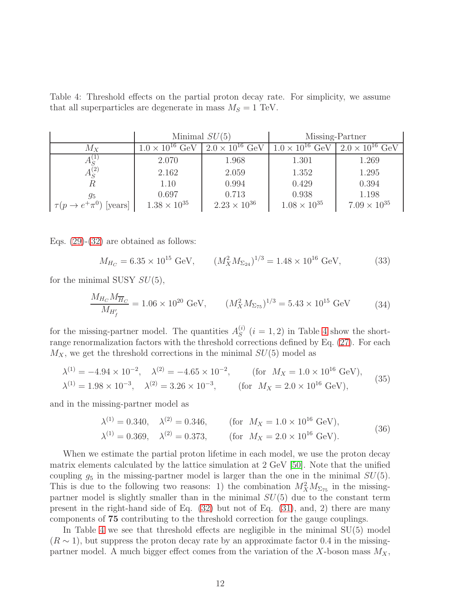<span id="page-12-0"></span>Table 4: Threshold effects on the partial proton decay rate. For simplicity, we assume that all superparticles are degenerate in mass  $M<sub>S</sub> = 1$  TeV.

|                                 | Minimal $SU(5)$                  |                                  | Missing-Partner                  |                                  |  |  |
|---------------------------------|----------------------------------|----------------------------------|----------------------------------|----------------------------------|--|--|
| $M_X$                           | $1.0 \times 10^{16} \text{ GeV}$ | $2.0 \times 10^{16} \text{ GeV}$ | $1.0 \times 10^{16} \text{ GeV}$ | $2.0 \times 10^{16} \text{ GeV}$ |  |  |
|                                 | 2.070                            | 1.968                            | 1.301                            | 1.269                            |  |  |
| $A_S^{(2)}$                     | 2.162                            | 2.059                            | 1.352                            | 1.295                            |  |  |
| R                               | 1.10                             | 0.994                            | 0.429                            | 0.394                            |  |  |
| 95                              | 0.697                            | 0.713                            | 0.938                            | 1.198                            |  |  |
| $\tau(p \to e^+ \pi^0)$ [years] | $1.38 \times 10^{35}$            | $2.23 \times 10^{36}$            | $1.08 \times 10^{35}$            | $7.09 \times 10^{35}$            |  |  |

Eqs.  $(29)-(32)$  $(29)-(32)$  are obtained as follows:

$$
M_{H_C} = 6.35 \times 10^{15} \text{ GeV}, \qquad (M_X^2 M_{\Sigma_{24}})^{1/3} = 1.48 \times 10^{16} \text{ GeV}, \tag{33}
$$

for the minimal SUSY  $SU(5)$ ,

$$
\frac{M_{H_C} M_{\overline{H}_C}}{M_{H'_f}} = 1.06 \times 10^{20} \text{ GeV}, \qquad (M_X^2 M_{\Sigma_{75}})^{1/3} = 5.43 \times 10^{15} \text{ GeV}
$$
 (34)

for the missing-partner model. The quantities  $A_S^{(i)}$  $S^{(i)}$   $(i = 1, 2)$  in Table [4](#page-12-0) show the shortrange renormalization factors with the threshold corrections defined by Eq. [\(27\)](#page-10-2). For each  $M_X$ , we get the threshold corrections in the minimal  $SU(5)$  model as

$$
\lambda^{(1)} = -4.94 \times 10^{-2}, \quad \lambda^{(2)} = -4.65 \times 10^{-2}, \quad \text{(for } M_X = 1.0 \times 10^{16} \text{ GeV}),
$$
\n
$$
\lambda^{(1)} = 1.98 \times 10^{-3}, \quad \lambda^{(2)} = 3.26 \times 10^{-3}, \quad \text{(for } M_X = 2.0 \times 10^{16} \text{ GeV}), \tag{35}
$$

and in the missing-partner model as

$$
\lambda^{(1)} = 0.340, \quad \lambda^{(2)} = 0.346, \quad \text{(for } M_X = 1.0 \times 10^{16} \text{ GeV}),
$$
\n
$$
\lambda^{(1)} = 0.369, \quad \lambda^{(2)} = 0.373, \quad \text{(for } M_X = 2.0 \times 10^{16} \text{ GeV}). \tag{36}
$$

When we estimate the partial proton lifetime in each model, we use the proton decay matrix elements calculated by the lattice simulation at 2 GeV [\[50\]](#page-26-10). Note that the unified coupling  $g_5$  in the missing-partner model is larger than the one in the minimal  $SU(5)$ . This is due to the following two reasons: 1) the combination  $M_X^2 M_{\Sigma_{75}}$  in the missingpartner model is slightly smaller than in the minimal  $SU(5)$  due to the constant term present in the right-hand side of Eq. [\(32\)](#page-11-1) but not of Eq. [\(31\)](#page-11-1), and, 2) there are many components of 75 contributing to the threshold correction for the gauge couplings.

In Table [4](#page-12-0) we see that threshold effects are negligible in the minimal  $SU(5)$  model  $(R \sim 1)$ , but suppress the proton decay rate by an approximate factor 0.4 in the missingpartner model. A much bigger effect comes from the variation of the X-boson mass  $M_X$ ,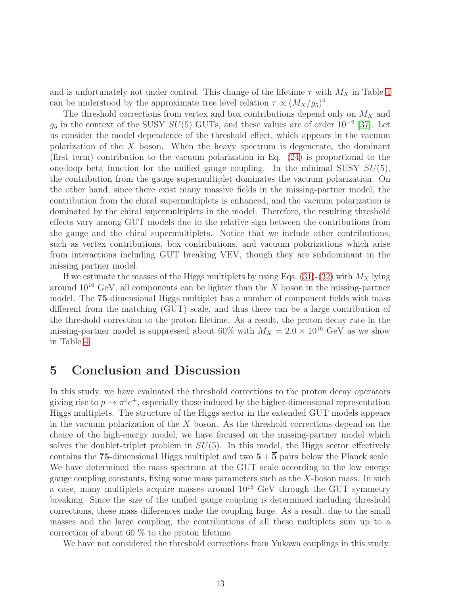and is unfortunately not under control. This change of the lifetime  $\tau$  with  $M_X$  in Table [4](#page-12-0) can be understood by the approximate tree level relation  $\tau \propto (M_X/g_5)^4$ .

The threshold corrections from vertex and box contributions depend only on  $M_X$  and  $g_5$  in the context of the SUSY  $SU(5)$  GUTs, and these values are of order  $10^{-2}$  [\[37\]](#page-25-8). Let us consider the model dependence of the threshold effect, which appears in the vacuum polarization of the  $X$  boson. When the heavy spectrum is degenerate, the dominant (first term) contribution to the vacuum polarization in Eq. [\(24\)](#page-8-1) is proportional to the one-loop beta function for the unified gauge coupling. In the minimal SUSY  $SU(5)$ , the contribution from the gauge supermultiplet dominates the vacuum polarization. On the other hand, since there exist many massive fields in the missing-partner model, the contribution from the chiral supermultiplets is enhanced, and the vacuum polarization is dominated by the chiral supermultiplets in the model. Therefore, the resulting threshold effects vary among GUT models due to the relative sign between the contributions from the gauge and the chiral supermultiplets. Notice that we include other contributions, such as vertex contributions, box contributions, and vacuum polarizations which arise from interactions including GUT breaking VEV, though they are subdominant in the missing partner model.

If we estimate the masses of the Higgs multiplets by using Eqs. [\(31\)](#page-11-1)-[\(32\)](#page-11-1) with  $M_X$  lying around  $10^{16}$  GeV, all components can be lighter than the X boson in the missing-partner model. The 75-dimensional Higgs multiplet has a number of component fields with mass different from the matching (GUT) scale, and thus there can be a large contribution of the threshold correction to the proton lifetime. As a result, the proton decay rate in the missing-partner model is suppressed about 60% with  $M_X = 2.0 \times 10^{16}$  GeV as we show in Table [4.](#page-12-0)

## <span id="page-13-0"></span>5 Conclusion and Discussion

In this study, we have evaluated the threshold corrections to the proton decay operators giving rise to  $p \to \pi^0 e^+$ , especially those induced by the higher-dimensional representation Higgs multiplets. The structure of the Higgs sector in the extended GUT models appears in the vacuum polarization of the  $X$  boson. As the threshold corrections depend on the choice of the high-energy model, we have focused on the missing-partner model which solves the doublet-triplet problem in  $SU(5)$ . In this model, the Higgs sector effectively contains the 75-dimensional Higgs multiplet and two  $5+\overline{5}$  pairs below the Planck scale. We have determined the mass spectrum at the GUT scale according to the low energy gauge coupling constants, fixing some mass parameters such as the  $X$ -boson mass. In such a case, many multiplets acquire masses around  $10^{15}$  GeV through the GUT symmetry breaking. Since the size of the unified gauge coupling is determined including threshold corrections, these mass differences make the coupling large. As a result, due to the small masses and the large coupling, the contributions of all these multiplets sum up to a correction of about 60 % to the proton lifetime.

We have not considered the threshold corrections from Yukawa couplings in this study.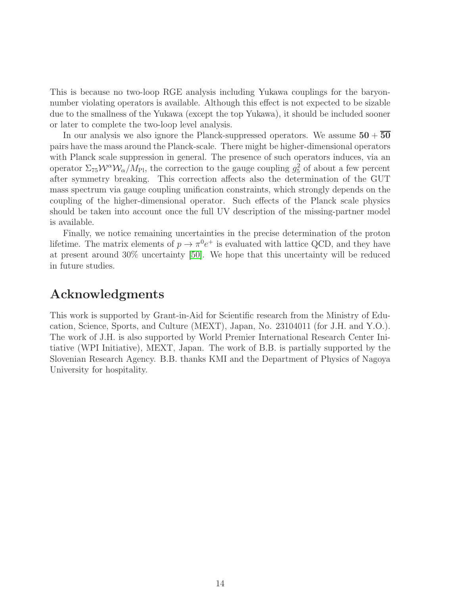This is because no two-loop RGE analysis including Yukawa couplings for the baryonnumber violating operators is available. Although this effect is not expected to be sizable due to the smallness of the Yukawa (except the top Yukawa), it should be included sooner or later to complete the two-loop level analysis.

In our analysis we also ignore the Planck-suppressed operators. We assume  $50 + 50$ pairs have the mass around the Planck-scale. There might be higher-dimensional operators with Planck scale suppression in general. The presence of such operators induces, via an operator  $\Sigma_{75} \mathcal{W}^{\alpha} \mathcal{W}_{\alpha}/M_{\text{Pl}}$ , the correction to the gauge coupling  $g_5^2$  of about a few percent after symmetry breaking. This correction affects also the determination of the GUT mass spectrum via gauge coupling unification constraints, which strongly depends on the coupling of the higher-dimensional operator. Such effects of the Planck scale physics should be taken into account once the full UV description of the missing-partner model is available.

Finally, we notice remaining uncertainties in the precise determination of the proton lifetime. The matrix elements of  $p \to \pi^0 e^+$  is evaluated with lattice QCD, and they have at present around 30% uncertainty [\[50\]](#page-26-10). We hope that this uncertainty will be reduced in future studies.

## Acknowledgments

This work is supported by Grant-in-Aid for Scientific research from the Ministry of Education, Science, Sports, and Culture (MEXT), Japan, No. 23104011 (for J.H. and Y.O.). The work of J.H. is also supported by World Premier International Research Center Initiative (WPI Initiative), MEXT, Japan. The work of B.B. is partially supported by the Slovenian Research Agency. B.B. thanks KMI and the Department of Physics of Nagoya University for hospitality.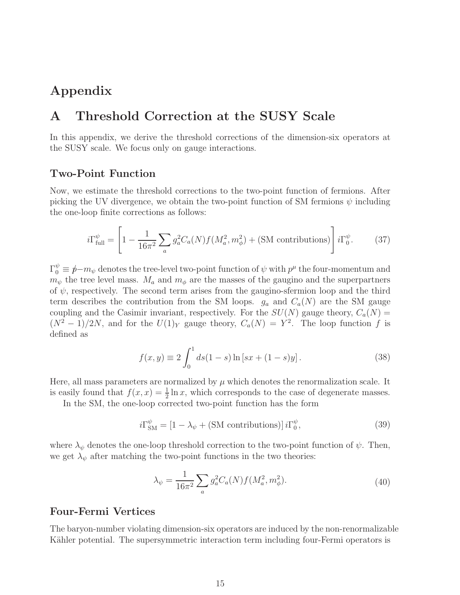## <span id="page-15-0"></span>Appendix

## A Threshold Correction at the SUSY Scale

In this appendix, we derive the threshold corrections of the dimension-six operators at the SUSY scale. We focus only on gauge interactions.

#### Two-Point Function

Now, we estimate the threshold corrections to the two-point function of fermions. After picking the UV divergence, we obtain the two-point function of SM fermions  $\psi$  including the one-loop finite corrections as follows:

$$
i\Gamma_{\text{full}}^{\psi} = \left[1 - \frac{1}{16\pi^2} \sum_{a} g_a^2 C_a(N) f(M_a^2, m_\phi^2) + (\text{SM contributions})\right] i\Gamma_0^{\psi}.
$$
 (37)

 $\Gamma_0^{\psi} \equiv \cancel{p} - m_{\psi}$  denotes the tree-level two-point function of  $\psi$  with  $p^{\mu}$  the four-momentum and  $m_{\psi}$  the tree level mass.  $M_a$  and  $m_{\phi}$  are the masses of the gaugino and the superpartners of  $\psi$ , respectively. The second term arises from the gaugino-sfermion loop and the third term describes the contribution from the SM loops.  $g_a$  and  $C_a(N)$  are the SM gauge coupling and the Casimir invariant, respectively. For the  $SU(N)$  gauge theory,  $C_a(N)$  $(N^2-1)/2N$ , and for the  $U(1)_Y$  gauge theory,  $C_a(N) = Y^2$ . The loop function f is defined as

$$
f(x,y) \equiv 2 \int_0^1 ds (1-s) \ln [sx + (1-s)y]. \tag{38}
$$

Here, all mass parameters are normalized by  $\mu$  which denotes the renormalization scale. It is easily found that  $f(x, x) = \frac{1}{2} \ln x$ , which corresponds to the case of degenerate masses.

In the SM, the one-loop corrected two-point function has the form

$$
i\Gamma_{\rm SM}^{\psi} = \left[1 - \lambda_{\psi} + \text{(SM contributions)}\right]i\Gamma_0^{\psi},\tag{39}
$$

where  $\lambda_{\psi}$  denotes the one-loop threshold correction to the two-point function of  $\psi$ . Then, we get  $\lambda_{\psi}$  after matching the two-point functions in the two theories:

<span id="page-15-1"></span>
$$
\lambda_{\psi} = \frac{1}{16\pi^2} \sum_{a} g_a^2 C_a(N) f(M_a^2, m_{\phi}^2). \tag{40}
$$

#### Four-Fermi Vertices

The baryon-number violating dimension-six operators are induced by the non-renormalizable Kähler potential. The supersymmetric interaction term including four-Fermi operators is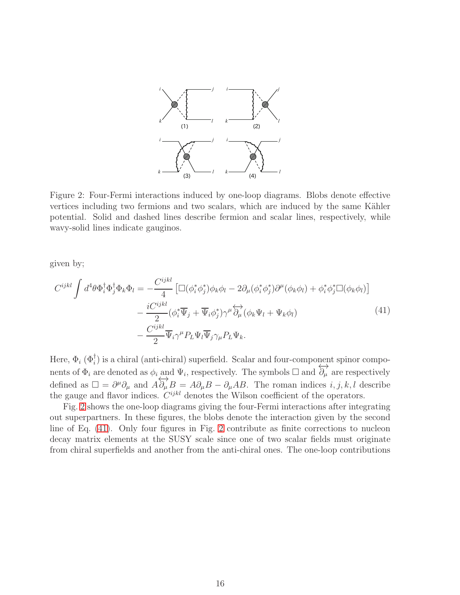

<span id="page-16-0"></span>Figure 2: Four-Fermi interactions induced by one-loop diagrams. Blobs denote effective vertices including two fermions and two scalars, which are induced by the same Kähler potential. Solid and dashed lines describe fermion and scalar lines, respectively, while wavy-solid lines indicate gauginos.

<span id="page-16-1"></span>given by;

$$
C^{ijkl} \int d^4\theta \Phi_i^{\dagger} \Phi_j^{\dagger} \Phi_k \Phi_l = -\frac{C^{ijkl}}{4} \left[ \Box(\phi_i^* \phi_j^*) \phi_k \phi_l - 2 \partial_\mu (\phi_i^* \phi_j^*) \partial^\mu (\phi_k \phi_l) + \phi_i^* \phi_j^* \Box(\phi_k \phi_l) \right] -\frac{i C^{ijkl}}{2} (\phi_i^* \overline{\Psi}_j + \overline{\Psi}_i \phi_j^*) \gamma^\mu \overleftrightarrow{\partial_\mu} (\phi_k \Psi_l + \Psi_k \phi_l) -\frac{C^{ijkl}}{2} \overline{\Psi}_i \gamma^\mu P_L \Psi_l \overline{\Psi}_j \gamma_\mu P_L \Psi_k.
$$
\n(41)

Here,  $\Phi_i$  ( $\Phi_i^{\dagger}$ ) is a chiral (anti-chiral) superfield. Scalar and four-component spinor compoi nents of  $\Phi_i$  are denoted as  $\phi_i$  and  $\Psi_i$ , respectively. The symbols  $\Box$  and  $\overleftrightarrow{\partial_\mu}$  are respectively defined as  $\Box = \partial^{\mu} \partial_{\mu}$  and  $A \overleftrightarrow{\partial_{\mu}} B = A \partial_{\mu} B - \partial_{\mu} A B$ . The roman indices *i*, *j*, *k*, *l* describe the gauge and flavor indices.  $C^{ijkl}$  denotes the Wilson coefficient of the operators.

Fig. [2](#page-16-0) shows the one-loop diagrams giving the four-Fermi interactions after integrating out superpartners. In these figures, the blobs denote the interaction given by the second line of Eq. [\(41\)](#page-16-1). Only four figures in Fig. [2](#page-16-0) contribute as finite corrections to nucleon decay matrix elements at the SUSY scale since one of two scalar fields must originate from chiral superfields and another from the anti-chiral ones. The one-loop contributions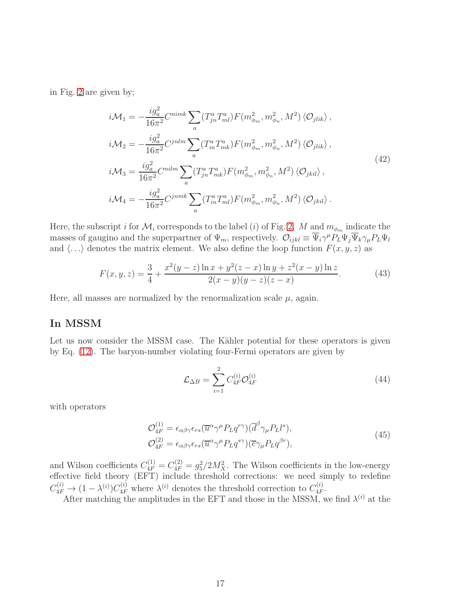in Fig. [2](#page-16-0) are given by;

$$
i\mathcal{M}_1 = -\frac{ig_a^2}{16\pi^2} C^{nimk} \sum_a (T_{jn}^a T_{ml}^a) F(m_{\phi_m}^2, m_{\phi_n}^2, M^2) \langle \mathcal{O}_{jlik} \rangle ,
$$
  
\n
$$
i\mathcal{M}_2 = -\frac{ig_a^2}{16\pi^2} C^{jnlm} \sum_a (T_{in}^a T_{mk}^a) F(m_{\phi_m}^2, m_{\phi_n}^2, M^2) \langle \mathcal{O}_{jlik} \rangle ,
$$
  
\n
$$
i\mathcal{M}_3 = \frac{ig_a^2}{16\pi^2} C^{nilm} \sum_a (T_{jn}^a T_{mk}^a) F(m_{\phi_m}^2, m_{\phi_n}^2, M^2) \langle \mathcal{O}_{jkil} \rangle ,
$$
  
\n
$$
i\mathcal{M}_4 = -\frac{ig_a^2}{16\pi^2} C^{jnmk} \sum_a (T_{in}^a T_{ml}^a) F(m_{\phi_m}^2, m_{\phi_n}^2, M^2) \langle \mathcal{O}_{jkil} \rangle .
$$
\n(42)

Here, the subscript i for  $\mathcal{M}_i$  corresponds to the label (i) of Fig. [2.](#page-16-0) M and  $m_{\phi_m}$  indicate the masses of gaugino and the superpartner of  $\Psi_m$ , respectively.  $\mathcal{O}_{ijkl} \equiv \overline{\Psi}_i \gamma^{\mu} P_L \Psi_j \overline{\Psi}_k \gamma_{\mu} P_L \Psi_l$ and  $\langle \ldots \rangle$  denotes the matrix element. We also define the loop function  $F(x, y, z)$  as

$$
F(x, y, z) = \frac{3}{4} + \frac{x^2(y-z)\ln x + y^2(z-x)\ln y + z^2(x-y)\ln z}{2(x-y)(y-z)(z-x)}.
$$
 (43)

Here, all masses are normalized by the renormalization scale  $\mu$ , again.

### In MSSM

Let us now consider the MSSM case. The Kähler potential for these operators is given by Eq. [\(12\)](#page-6-1). The baryon-number violating four-Fermi operators are given by

<span id="page-17-0"></span>
$$
\mathcal{L}_{\Delta B} = \sum_{i=1}^{2} C_{4F}^{(i)} \mathcal{O}_{4F}^{(i)} \tag{44}
$$

with operators

$$
\mathcal{O}_{4F}^{(1)} = \epsilon_{\alpha\beta\gamma}\epsilon_{rs}(\overline{u}^{\alpha}\gamma^{\mu}P_Lq^{r\gamma})(\overline{d}^{\beta}\gamma_{\mu}P_Ll^{s}),
$$
\n
$$
\mathcal{O}_{4F}^{(2)} = \epsilon_{\alpha\beta\gamma}\epsilon_{rs}(\overline{u}^{\alpha}\gamma^{\mu}P_Lq^{s\gamma})(\overline{e}\gamma_{\mu}P_Lq^{\beta r}),
$$
\n(45)

and Wilson coefficients  $C_{4F}^{(1)} = C_{4F}^{(2)} = g_5^2/2M_X^2$ . The Wilson coefficients in the low-energy effective field theory (EFT) include threshold corrections: we need simply to redefine  $C_{4F}^{(i)} \rightarrow (1 - \lambda^{(i)}) C_{4F}^{(i)}$  where  $\lambda^{(i)}$  denotes the threshold correction to  $C_{4F}^{(i)}$  $_{4F}^{\left( 0\right) }.$ 

After matching the amplitudes in the EFT and those in the MSSM, we find  $\lambda^{(i)}$  at the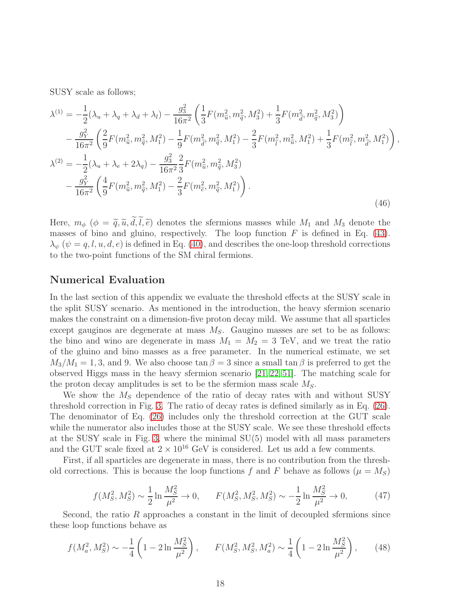SUSY scale as follows;

$$
\lambda^{(1)} = -\frac{1}{2}(\lambda_u + \lambda_q + \lambda_d + \lambda_l) - \frac{g_3^2}{16\pi^2} \left( \frac{1}{3} F(m_{\tilde{u}}^2, m_{\tilde{q}}^2, M_3^2) + \frac{1}{3} F(m_{\tilde{d}}^2, m_{\tilde{q}}^2, M_3^2) \right) \n- \frac{g_Y^2}{16\pi^2} \left( \frac{2}{9} F(m_{\tilde{u}}^2, m_{\tilde{q}}^2, M_1^2) - \frac{1}{9} F(m_{\tilde{d}}^2, m_{\tilde{q}}^2, M_1^2) - \frac{2}{3} F(m_{\tilde{t}}^2, m_{\tilde{u}}^2, M_1^2) + \frac{1}{3} F(m_{\tilde{t}}^2, m_{\tilde{d}}^2, M_1^2) \right) \n\lambda^{(2)} = -\frac{1}{2} (\lambda_u + \lambda_e + 2\lambda_q) - \frac{g_3^2}{16\pi^2} \frac{2}{3} F(m_{\tilde{u}}^2, m_{\tilde{q}}^2, M_3^2) \n- \frac{g_Y^2}{16\pi^2} \left( \frac{4}{9} F(m_{\tilde{u}}^2, m_{\tilde{q}}^2, M_1^2) - \frac{2}{3} F(m_{\tilde{e}}^2, m_{\tilde{q}}^2, M_1^2) \right).
$$
\n(46)

,

Here,  $m_{\phi}$  ( $\phi = \tilde{q}, \tilde{u}, \tilde{d}, \tilde{l}, \tilde{e}$ ) denotes the sfermions masses while  $M_1$  and  $M_3$  denote the masses of bino and gluino, respectively. The loop function  $F$  is defined in Eq. [\(43\)](#page-17-0).  $\lambda_{\psi}$  ( $\psi = q, l, u, d, e$ ) is defined in Eq. [\(40\)](#page-15-1), and describes the one-loop threshold corrections to the two-point functions of the SM chiral fermions.

#### Numerical Evaluation

In the last section of this appendix we evaluate the threshold effects at the SUSY scale in the split SUSY scenario. As mentioned in the introduction, the heavy sfermion scenario makes the constraint on a dimension-five proton decay mild. We assume that all sparticles except gauginos are degenerate at mass  $M<sub>S</sub>$ . Gaugino masses are set to be as follows: the bino and wino are degenerate in mass  $M_1 = M_2 = 3$  TeV, and we treat the ratio of the gluino and bino masses as a free parameter. In the numerical estimate, we set  $M_3/M_1 = 1, 3$ , and 9. We also choose  $\tan \beta = 3$  since a small  $\tan \beta$  is preferred to get the observed Higgs mass in the heavy sfermion scenario [\[21,](#page-24-12) [22,](#page-24-8) [51\]](#page-26-11). The matching scale for the proton decay amplitudes is set to be the sfermion mass scale  $M_S$ .

We show the  $M<sub>S</sub>$  dependence of the ratio of decay rates with and without SUSY threshold correction in Fig. [3.](#page-19-1) The ratio of decay rates is defined similarly as in Eq. [\(26\)](#page-10-3). The denominator of Eq. [\(26\)](#page-10-3) includes only the threshold correction at the GUT scale while the numerator also includes those at the SUSY scale. We see these threshold effects at the SUSY scale in Fig. [3,](#page-19-1) where the minimal SU(5) model with all mass parameters and the GUT scale fixed at  $2 \times 10^{16}$  GeV is considered. Let us add a few comments.

First, if all sparticles are degenerate in mass, there is no contribution from the threshold corrections. This is because the loop functions f and F behave as follows ( $\mu = M_S$ )

$$
f(M_S^2, M_S^2) \sim \frac{1}{2} \ln \frac{M_S^2}{\mu^2} \to 0, \qquad F(M_S^2, M_S^2, M_S^2) \sim -\frac{1}{2} \ln \frac{M_S^2}{\mu^2} \to 0,
$$
 (47)

Second, the ratio  $R$  approaches a constant in the limit of decoupled sfermions since these loop functions behave as

$$
f(M_a^2, M_S^2) \sim -\frac{1}{4} \left( 1 - 2 \ln \frac{M_S^2}{\mu^2} \right), \qquad F(M_S^2, M_S^2, M_a^2) \sim \frac{1}{4} \left( 1 - 2 \ln \frac{M_S^2}{\mu^2} \right), \tag{48}
$$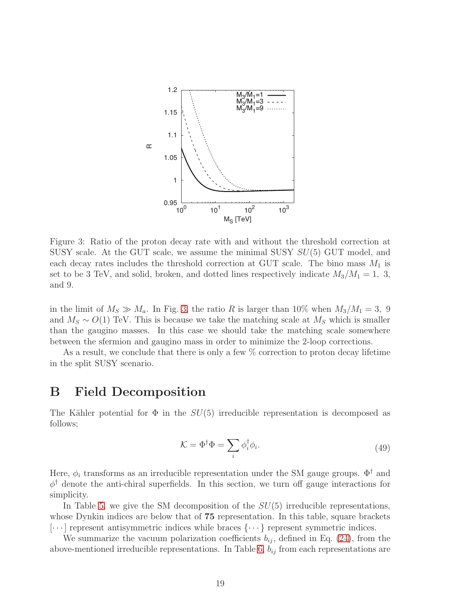

<span id="page-19-1"></span>Figure 3: Ratio of the proton decay rate with and without the threshold correction at SUSY scale. At the GUT scale, we assume the minimal SUSY  $SU(5)$  GUT model, and each decay rates includes the threshold correction at GUT scale. The bino mass  $M_1$  is set to be 3 TeV, and solid, broken, and dotted lines respectively indicate  $M_3/M_1 = 1, 3$ , and 9.

in the limit of  $M_S \gg M_a$ . In Fig. [3,](#page-19-1) the ratio R is larger than 10% when  $M_3/M_1 = 3$ , 9 and  $M_S \sim O(1)$  TeV. This is because we take the matching scale at  $M_S$  which is smaller than the gaugino masses. In this case we should take the matching scale somewhere between the sfermion and gaugino mass in order to minimize the 2-loop corrections.

As a result, we conclude that there is only a few  $\%$  correction to proton decay lifetime in the split SUSY scenario.

### <span id="page-19-0"></span>B Field Decomposition

The Kähler potential for  $\Phi$  in the  $SU(5)$  irreducible representation is decomposed as follows;

$$
\mathcal{K} = \Phi^{\dagger} \Phi = \sum_{i} \phi_i^{\dagger} \phi_i.
$$
\n(49)

Here,  $\phi_i$  transforms as an irreducible representation under the SM gauge groups.  $\Phi^{\dagger}$  and  $\phi^{\dagger}$  denote the anti-chiral superfields. In this section, we turn off gauge interactions for simplicity.

In Table [5,](#page-20-0) we give the SM decomposition of the  $SU(5)$  irreducible representations, whose Dynkin indices are below that of 75 representation. In this table, square brackets  $[\cdots]$  represent antisymmetric indices while braces  $\{\cdots\}$  represent symmetric indices.

We summarize the vacuum polarization coefficients  $b_{ij}$ , defined in Eq. [\(24\)](#page-8-1), from the above-mentioned irreducible representations. In Table [6,](#page-22-0)  $b_{ij}$  from each representations are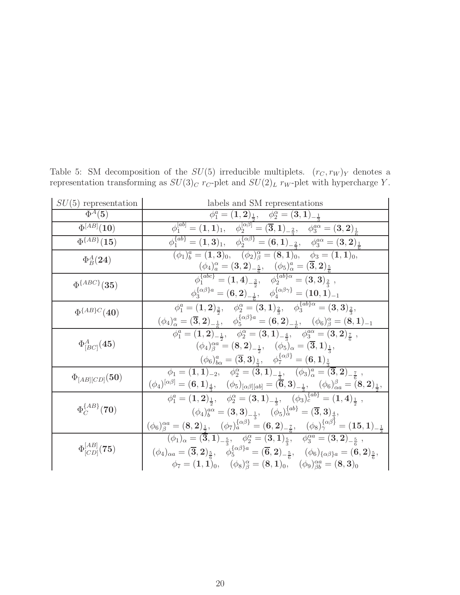| $SU(5)$ representation            | labels and SM representations                                                                                                                                                                                                                                                                                                                                                                                                    |
|-----------------------------------|----------------------------------------------------------------------------------------------------------------------------------------------------------------------------------------------------------------------------------------------------------------------------------------------------------------------------------------------------------------------------------------------------------------------------------|
| $\Phi^A(5)$                       | $\phi_1^a = (1,2)_{\frac{1}{2}}, \quad \phi_2^{\alpha} = (3,1)_{-\frac{1}{3}}$                                                                                                                                                                                                                                                                                                                                                   |
| $\overline{\Phi^{[AB]}}(10)$      | $\phi_1^{[ab]}=(1,1)_1,\quad \phi_2^{[\alpha\beta]}=(\overline{\mathbf{3}},\mathbf{1})_{-\frac{2}{3}},\quad \phi_3^{a\alpha}=(\overline{\mathbf{3}},\mathbf{2})_{\frac{1}{6}}$                                                                                                                                                                                                                                                   |
| $\overline{\Phi^{\{AB\}}(15)}$    | $\phi_1^{\{ab\}} = (1,3)_1, \quad \phi_2^{\{\alpha\beta\}} = (6,1)_{-\frac{2}{3}}, \quad \phi_3^{a\alpha} = (3,2)_{\frac{1}{6}}.$                                                                                                                                                                                                                                                                                                |
| $\Phi_B^A(\bf{24})$               | $(\phi_1)^a_b = (1,3)_0, \quad (\phi_2)^{\alpha}_{\beta} = (8,1)_0, \quad \phi_3 = (1,1)_0,$                                                                                                                                                                                                                                                                                                                                     |
|                                   | $(\phi_4)_a^\alpha = ({\bf 3},{\bf 2})_{-\frac{5}{6}}, \quad (\phi_5)_\alpha^a = ({\bf \overline{3}},{\bf 2})_{\frac{5}{6}}, \ \phi_1^{\{abc\}} = ({\bf 1},{\bf 4})_{-\frac{3}{2}}, \quad \phi_2^{\{ab\} \alpha} = ({\bf 3},{\bf 3})_{\frac{2}{3}} \ ,$                                                                                                                                                                          |
| $\Phi^{\{ABC\}}(35)$              |                                                                                                                                                                                                                                                                                                                                                                                                                                  |
|                                   | $\phi_3^{\{\alpha\beta\}a} = ({\bf 6},{\bf 2})_{-\frac{1}{6}}, \quad \phi_4^{\{\alpha\beta\gamma\}} = ({\bf 10},{\bf 1})_{-1}$                                                                                                                                                                                                                                                                                                   |
| $\Phi^{\{AB\}C}(40)$              | $\phi_1^a = (1,2)_{\frac{3}{2}}, \quad \phi_2^{\alpha} = (3,1)_{\frac{2}{3}}, \quad \phi_3^{\{ab\}\alpha} = (3,3)_{\frac{2}{3}},$                                                                                                                                                                                                                                                                                                |
|                                   | $\frac{(\phi_4)^a_\alpha=(\overline{\mathbf{3}},\mathbf{2})_{-\frac{1}{6}},\quad \phi_5^{\{\alpha\beta\}a}=(\overset{\circ}{\mathbf{6}},\mathbf{2})_{-\frac{1}{6}},\quad (\phi_6)^{\alpha}_{\beta}=(\overset{\circ}{\mathbf{8}},\mathbf{1})_{-1}}{\phi_1^a=(\mathbf{1},\mathbf{2})_{-\frac{1}{2}},\quad \phi_2^{\alpha}=(\mathbf{3},\mathbf{1})_{-\frac{4}{3}},\quad \phi_3^{a\alpha}=(\mathbf{3},\mathbf{2})_{\frac{7}{6}}}\,,$ |
|                                   |                                                                                                                                                                                                                                                                                                                                                                                                                                  |
| $\Phi_{[BC]}^A(\bf{45})$          | $(\phi_4)^{\alpha a}_{\beta} = (8,2)_{-\frac{1}{2}}, \quad (\phi_5)_{\alpha} = (\overline{3},1)_{\frac{1}{2}},$                                                                                                                                                                                                                                                                                                                  |
|                                   | $\frac{1}{2}(\phi_6)^a_{b\alpha} = (\overline{\mathbf{3}},\mathbf{3})^{\frac{1}{4}}_{\frac{1}{3}}, \quad \phi_7^{\{\alpha\beta\}} = (\mathbf{6},\mathbf{1})^{\frac{3}{4}}_{\frac{1}{2}}$                                                                                                                                                                                                                                         |
| $\Phi_{[AB][CD]}({\bf 50})$       | $\phi_1 = (1,1)_{-2}, \quad \phi_2^{\alpha} = (3,1)_{-\frac{1}{2}}, \quad (\phi_3)^{a}_{\alpha} = (\overline{3},2)_{-\frac{7}{6}}$                                                                                                                                                                                                                                                                                               |
|                                   | $\frac{(\phi_4)^{[\alpha\beta]}=(6,1)_{\frac{4}{3}},\quad (\phi_5)_{[\alpha\beta][ab]}=(\overset{\circ}{6},3)_{-\frac{1}{3}},\quad (\phi_6)^{\beta}_{\alpha a}=\overset{\circ}{(8,2)_{\frac{1}{2}},}\ \phi_1^a=(1,2)_{\frac{1}{2}},\quad \phi_2^{\alpha}=(3,1)_{-\frac{1}{3}},\quad (\phi_3)^{\{ab\}}_c=(1,4)_{\frac{1}{2}}\;,$                                                                                                  |
|                                   |                                                                                                                                                                                                                                                                                                                                                                                                                                  |
| $\Phi_C^{\{AB\}}(70)$             | $(\phi_4)^{a\alpha}_{b} = ({\bf 3},{\bf 3})_{-\frac{1}{3}}, \quad (\phi_5)^{\{ab\}}_{\alpha} = ({\bf \overline{3}},{\bf 3})_{\frac{4}{3}},$                                                                                                                                                                                                                                                                                      |
|                                   | $(\phi_6)^{\alpha a}_{\beta}=(8,2)_{\frac{1}{2}}, \quad (\phi_7)^{\{\alpha \beta\}}_{a}=(6,2)_{-\frac{7}{6}}, \quad (\phi_8)^{\{\alpha \beta\}}_{\gamma}=(15,1)_{-\frac{1}{3}}$                                                                                                                                                                                                                                                  |
|                                   | $(\phi_1)_\alpha = (\overline{\mathbf{3}},\mathbf{1})_{-\frac{5}{2}}, \quad \phi_2^\alpha = (\mathbf{3},\mathbf{1})_{\frac{5}{2}}, \quad \phi_3^{\alpha a} = (\mathbf{3},\mathbf{2})_{-\frac{5}{6}} \;,$                                                                                                                                                                                                                         |
| $\Phi^{[AB]}_{[CD]}(\mathbf{75})$ | $(\phi_4)_{\alpha a} = (\overline{\mathbf{3}}, \mathbf{2})_{\frac{5}{6}}, \quad \check{\phi}_5^{\{\alpha\beta\}a} = (\overline{\mathbf{6}}, \mathbf{2})_{-\frac{5}{6}}, \quad (\phi_6)_{\{\alpha\beta\}a} = (\mathbf{6}, \mathbf{2})_{\frac{5}{6}},$                                                                                                                                                                             |
|                                   | $\phi_7 = (1, 1)_0, \quad (\phi_8)_\beta^\alpha = (8, 1)_0, \quad (\phi_9)_{\beta b}^{\alpha a} = (8, 3)_0$                                                                                                                                                                                                                                                                                                                      |

<span id="page-20-0"></span>Table 5: SM decomposition of the  $SU(5)$  irreducible multiplets.  $(r_C, r_W)_Y$  denotes a representation transforming as  $SU(3)_C$  r<sub>C</sub>-plet and  $SU(2)_L$  r<sub>W</sub>-plet with hypercharge Y.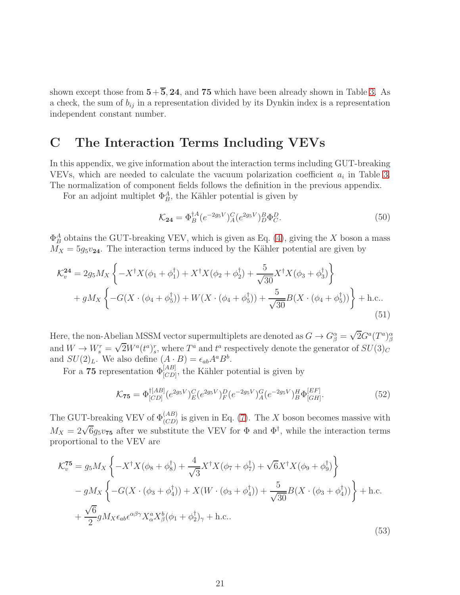shown except those from  $5+\overline{5}$ , 24, and 75 which have been already shown in Table [3.](#page-9-0) As a check, the sum of  $b_{ij}$  in a representation divided by its Dynkin index is a representation independent constant number.

## <span id="page-21-0"></span>C The Interaction Terms Including VEVs

In this appendix, we give information about the interaction terms including GUT-breaking VEVs, which are needed to calculate the vacuum polarization coefficient  $a_i$  in Table [3.](#page-9-0) The normalization of component fields follows the definition in the previous appendix.

For an adjoint multiplet  $\Phi_B^A$ , the Kähler potential is given by

$$
\mathcal{K}_{24} = \Phi_B^{\dagger A} (e^{-2g_5 V})^C_A (e^{2g_5 V})^B_D \Phi_C^D. \tag{50}
$$

 $\Phi_B^A$  obtains the GUT-breaking VEV, which is given as Eq. [\(4\)](#page-4-1), giving the X boson a mass  $M_X = 5g_5v_{24}$ . The interaction terms induced by the Kähler potential are given by

$$
\mathcal{K}_{v}^{24} = 2g_{5}M_{X} \left\{ -X^{\dagger} X(\phi_{1} + \phi_{1}^{\dagger}) + X^{\dagger} X(\phi_{2} + \phi_{2}^{\dagger}) + \frac{5}{\sqrt{30}} X^{\dagger} X(\phi_{3} + \phi_{3}^{\dagger}) \right\} + gM_{X} \left\{ -G(X \cdot (\phi_{4} + \phi_{5}^{\dagger})) + W(X \cdot (\phi_{4} + \phi_{5}^{\dagger})) + \frac{5}{\sqrt{30}} B(X \cdot (\phi_{4} + \phi_{5}^{\dagger})) \right\} + \text{h.c.}
$$
\n(51)

Here, the non-Abelian MSSM vector supermultiplets are denoted as  $G \to G_{\beta}^{\alpha} = \sqrt{2}G^a(T^a)_{\beta}^{\alpha}$ and  $W \to W_s^r = \sqrt{2}W^a(t^a)_s^r$ , where  $T^a$  and  $t^a$  respectively denote the generator of  $SU(3)_C$ and  $SU(2)_L$ . We also define  $(A \cdot B) = \epsilon_{ab} A^a B^b$ .

For a 75 representation  $\Phi_{[CD]}^{[AB]}$ , the Kähler potential is given by

$$
\mathcal{K}_{75} = \Phi_{[CD]}^{\dagger[AB]}(e^{2g_5 V})^C_E(e^{2g_5 V})^D_F(e^{-2g_5 V})^G_A(e^{-2g_5 V})^H_B \Phi_{[GH]}^{[EF]}.
$$
\n(52)

The GUT-breaking VEV of  $\Phi_{(CD)}^{(AB)}$  is given in Eq. [\(7\)](#page-5-2). The X boson becomes massive with  $M_X = 2\sqrt{6}g_5v_{75}$  after we substitute the VEV for  $\Phi$  and  $\Phi^{\dagger}$ , while the interaction terms proportional to the VEV are

$$
\mathcal{K}_{v}^{75} = g_{5}M_{X} \left\{ -X^{\dagger}X(\phi_{8} + \phi_{8}^{\dagger}) + \frac{4}{\sqrt{3}}X^{\dagger}X(\phi_{7} + \phi_{7}^{\dagger}) + \sqrt{6}X^{\dagger}X(\phi_{9} + \phi_{9}^{\dagger}) \right\} \n- gM_{X} \left\{ -G(X \cdot (\phi_{3} + \phi_{4}^{\dagger})) + X(W \cdot (\phi_{3} + \phi_{4}^{\dagger})) + \frac{5}{\sqrt{30}}B(X \cdot (\phi_{3} + \phi_{4}^{\dagger})) \right\} + \text{h.c.} \n+ \frac{\sqrt{6}}{2}gM_{X}\epsilon_{ab}\epsilon^{\alpha\beta\gamma}X_{\alpha}^aX_{\beta}^b(\phi_{1} + \phi_{2}^{\dagger})_{\gamma} + \text{h.c.}
$$
\n(53)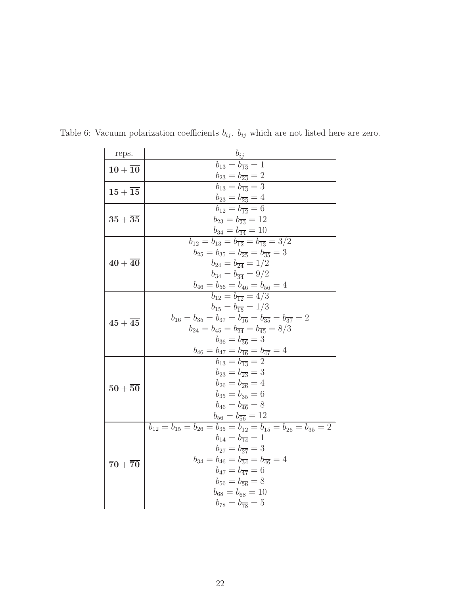<span id="page-22-0"></span>

| reps.                          | $b_{ij}$                                                                                                                |
|--------------------------------|-------------------------------------------------------------------------------------------------------------------------|
| $10+\overline{10}$             | $b_{13} = b_{\overline{13}} = 1$                                                                                        |
|                                | $b_{23} = b_{\overline{23}} = 2$                                                                                        |
| $15+15$                        | $b_{13} = b_{\overline{13}} = 3$                                                                                        |
|                                | $b_{23} = b_{\overline{23}} = 4$                                                                                        |
| $35+\overline{35}$             | $b_{12} = b_{\overline{12}} = 6$                                                                                        |
|                                | $b_{23} = b_{\overline{23}} = 12$                                                                                       |
|                                | $b_{34} = b_{\overline{34}} = 10$                                                                                       |
|                                | $b_{12} = b_{13} = b_{\overline{12}} = b_{\overline{13}} = 3/2$                                                         |
|                                | $b_{25} = b_{35} = b_{\overline{25}} = b_{\overline{35}} = 3$<br>$b_{24} = b_{\overline{24}} = 1/2$                     |
| ${\bf 40}+{\bf \overline{40}}$ | $b_{34} = b_{\overline{34}} = 9/2$                                                                                      |
|                                | $b_{46} = b_{56} = b_{\overline{46}} = b_{\overline{56}} = 4$                                                           |
|                                | $b_{12} = b_{12} = 4/3$                                                                                                 |
|                                | $b_{15} = b_{\overline{15}} = 1/3$                                                                                      |
|                                | $b_{16} = b_{35} = b_{37} = b_{\overline{16}} = b_{\overline{35}} = b_{\overline{37}} = 2$                              |
| $45+\overline{45}$             | $b_{24} = b_{45} = b_{\overline{24}} = b_{\overline{45}} = 8/3$                                                         |
|                                | $b_{36} = b_{\overline{36}} = 3$                                                                                        |
|                                | $b_{46} = b_{47} = b_{\overline{46}} = b_{\overline{47}} = 4$                                                           |
|                                | $b_{13} = b_{\overline{13}} = 2$                                                                                        |
|                                | $b_{23} = b_{\overline{23}} = 3$                                                                                        |
| $50+\overline{50}$             | $b_{26} = b_{\overline{26}} = 4$                                                                                        |
|                                | $b_{35} = b_{\overline{35}} = 6$                                                                                        |
|                                | $b_{46} = b_{\overline{46}} = 8$                                                                                        |
|                                | $b_{56} = b_{\overline{56}} = 12$                                                                                       |
|                                | $b_{12} = b_{15} = b_{26} = b_{35} = b_{\overline{12}} = b_{\overline{15}} = b_{\overline{26}} = b_{\overline{35}} = 2$ |
| $70+\overline{70}$             | $b_{14} = b_{\overline{14}} = 1$                                                                                        |
|                                | $b_{27} = b_{\overline{27}} = 3$                                                                                        |
|                                | $b_{34} = b_{46} = b_{\overline{34}} = b_{\overline{46}} = 4$                                                           |
|                                | $b_{47} = b_{\overline{47}} = 6$                                                                                        |
|                                | $b_{56} = b_{\overline{56}} = 8$                                                                                        |
|                                | $b_{68} = b_{\overline{68}} = 10$                                                                                       |
|                                | $b_{78} = b_{\overline{78}} = 5$                                                                                        |

Table 6: Vacuum polarization coefficients  $b_{ij}$ .  $b_{ij}$  which are not listed here are zero.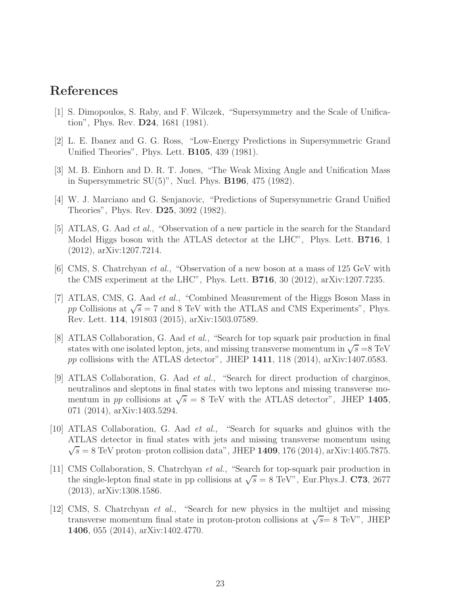## <span id="page-23-0"></span>References

- [1] S. Dimopoulos, S. Raby, and F. Wilczek, "Supersymmetry and the Scale of Unification", Phys. Rev. D24, 1681 (1981).
- [2] L. E. Ibanez and G. G. Ross, "Low-Energy Predictions in Supersymmetric Grand Unified Theories", Phys. Lett. B105, 439 (1981).
- <span id="page-23-1"></span>[3] M. B. Einhorn and D. R. T. Jones, "The Weak Mixing Angle and Unification Mass in Supersymmetric SU(5)", Nucl. Phys. B196, 475 (1982).
- <span id="page-23-2"></span>[4] W. J. Marciano and G. Senjanovic, "Predictions of Supersymmetric Grand Unified Theories", Phys. Rev. D25, 3092 (1982).
- [5] ATLAS, G. Aad *et al.*, "Observation of a new particle in the search for the Standard Model Higgs boson with the ATLAS detector at the LHC", Phys. Lett. B716, 1 (2012), arXiv:1207.7214.
- [6] CMS, S. Chatrchyan *et al.*, "Observation of a new boson at a mass of 125 GeV with the CMS experiment at the LHC", Phys. Lett. B716, 30 (2012), arXiv:1207.7235.
- <span id="page-23-3"></span>[7] ATLAS, CMS, G. Aad *et al.*, "Combined Measurement of the Higgs Boson Mass in pp Collisions at  $\sqrt{s} = 7$  and 8 TeV with the ATLAS and CMS Experiments", Phys. Rev. Lett. 114, 191803 (2015), arXiv:1503.07589.
- <span id="page-23-4"></span>[8] ATLAS Collaboration, G. Aad *et al.*, "Search for top squark pair production in final states with one isolated lepton, jets, and missing transverse momentum in  $\sqrt{s} = 8 \text{ TeV}$ pp collisions with the ATLAS detector", JHEP  $1411$ , 118 (2014), arXiv:1407.0583.
- [9] ATLAS Collaboration, G. Aad *et al.*, "Search for direct production of charginos, neutralinos and sleptons in final states with two leptons and missing transverse momentum in pp collisions at  $\sqrt{s} = 8$  TeV with the ATLAS detector", JHEP 1405, 071 (2014), arXiv:1403.5294.
- [10] ATLAS Collaboration, G. Aad *et al.*, "Search for squarks and gluinos with the ATLAS detector in final states with jets and missing transverse momentum using  $\sqrt{s} = 8$  TeV proton–proton collision data", JHEP 1409, 176 (2014), arXiv:1405.7875.
- [11] CMS Collaboration, S. Chatrchyan *et al.*, "Search for top-squark pair production in the single-lepton final state in pp collisions at  $\sqrt{s} = 8 \text{ TeV}^n$ , Eur. Phys.J. C73, 2677 (2013), arXiv:1308.1586.
- [12] CMS, S. Chatrchyan *et al.*, "Search for new physics in the multijet and missing transverse momentum final state in proton-proton collisions at  $\sqrt{s}$  = 8 TeV", JHEP 1406, 055 (2014), arXiv:1402.4770.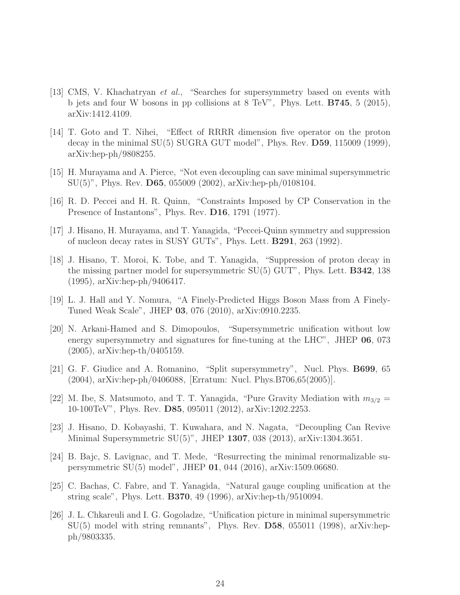- <span id="page-24-0"></span>[13] CMS, V. Khachatryan *et al.*, "Searches for supersymmetry based on events with b jets and four W bosons in pp collisions at 8 TeV", Phys. Lett. B745, 5 (2015), arXiv:1412.4109.
- <span id="page-24-1"></span>[14] T. Goto and T. Nihei, "Effect of RRRR dimension five operator on the proton decay in the minimal  $SU(5)$  SUGRA GUT model", Phys. Rev.  $D59$ , 115009 (1999), arXiv:hep-ph/9808255.
- <span id="page-24-3"></span><span id="page-24-2"></span>[15] H. Murayama and A. Pierce, "Not even decoupling can save minimal supersymmetric SU(5)", Phys. Rev. D65, 055009 (2002), arXiv:hep-ph/0108104.
- <span id="page-24-4"></span>[16] R. D. Peccei and H. R. Quinn, "Constraints Imposed by CP Conservation in the Presence of Instantons", Phys. Rev. **D16**, 1791 (1977).
- <span id="page-24-5"></span>[17] J. Hisano, H. Murayama, and T. Yanagida, "Peccei-Quinn symmetry and suppression of nucleon decay rates in SUSY GUTs", Phys. Lett. B291, 263 (1992).
- [18] J. Hisano, T. Moroi, K. Tobe, and T. Yanagida, "Suppression of proton decay in the missing partner model for supersymmetric SU(5) GUT", Phys. Lett. B342, 138 (1995), arXiv:hep-ph/9406417.
- <span id="page-24-7"></span><span id="page-24-6"></span>[19] L. J. Hall and Y. Nomura, "A Finely-Predicted Higgs Boson Mass from A Finely-Tuned Weak Scale", JHEP 03, 076 (2010), arXiv:0910.2235.
- [20] N. Arkani-Hamed and S. Dimopoulos, "Supersymmetric unification without low energy supersymmetry and signatures for fine-tuning at the LHC", JHEP 06, 073 (2005), arXiv:hep-th/0405159.
- <span id="page-24-12"></span>[21] G. F. Giudice and A. Romanino, "Split supersymmetry", Nucl. Phys. B699, 65 (2004), arXiv:hep-ph/0406088, [Erratum: Nucl. Phys.B706,65(2005)].
- <span id="page-24-8"></span>[22] M. Ibe, S. Matsumoto, and T. T. Yanagida, "Pure Gravity Mediation with  $m_{3/2}$  = 10-100TeV", Phys. Rev. D85, 095011 (2012), arXiv:1202.2253.
- <span id="page-24-9"></span>[23] J. Hisano, D. Kobayashi, T. Kuwahara, and N. Nagata, "Decoupling Can Revive Minimal Supersymmetric  $SU(5)$ ", JHEP 1307, 038 (2013), arXiv:1304.3651.
- <span id="page-24-10"></span>[24] B. Bajc, S. Lavignac, and T. Mede, "Resurrecting the minimal renormalizable supersymmetric SU(5) model", JHEP 01, 044 (2016), arXiv:1509.06680.
- <span id="page-24-11"></span>[25] C. Bachas, C. Fabre, and T. Yanagida, "Natural gauge coupling unification at the string scale", Phys. Lett. B370, 49 (1996), arXiv:hep-th/9510094.
- [26] J. L. Chkareuli and I. G. Gogoladze, "Unification picture in minimal supersymmetric  $SU(5)$  model with string remnants", Phys. Rev. D58, 055011 (1998), arXiv:hepph/9803335.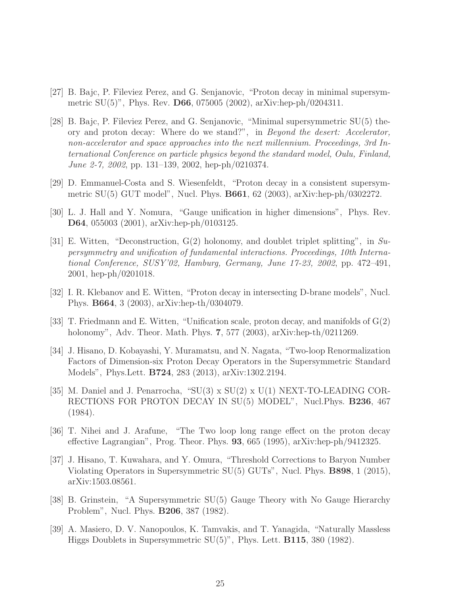- <span id="page-25-2"></span><span id="page-25-0"></span>[27] B. Bajc, P. Fileviez Perez, and G. Senjanovic, "Proton decay in minimal supersymmetric SU(5)", Phys. Rev. D66, 075005 (2002), arXiv:hep-ph/0204311.
- [28] B. Bajc, P. Fileviez Perez, and G. Senjanovic, "Minimal supersymmetric SU(5) theory and proton decay: Where do we stand?", in *Beyond the desert: Accelerator, non-accelerator and space approaches into the next millennium. Proceedings, 3rd International Conference on particle physics beyond the standard model, Oulu, Finland, June 2-7, 2002*, pp. 131–139, 2002, hep-ph/0210374.
- <span id="page-25-3"></span><span id="page-25-1"></span>[29] D. Emmanuel-Costa and S. Wiesenfeldt, "Proton decay in a consistent supersymmetric SU(5) GUT model", Nucl. Phys. B661, 62 (2003), arXiv:hep-ph/0302272.
- [30] L. J. Hall and Y. Nomura, "Gauge unification in higher dimensions", Phys. Rev. D64, 055003 (2001), arXiv:hep-ph/0103125.
- [31] E. Witten, "Deconstruction, G(2) holonomy, and doublet triplet splitting", in *Supersymmetry and unification of fundamental interactions. Proceedings, 10th International Conference, SUSY'02, Hamburg, Germany, June 17-23, 2002*, pp. 472–491, 2001, hep-ph/0201018.
- <span id="page-25-4"></span>[32] I. R. Klebanov and E. Witten, "Proton decay in intersecting D-brane models", Nucl. Phys. B664, 3 (2003), arXiv:hep-th/0304079.
- <span id="page-25-5"></span>[33] T. Friedmann and E. Witten, "Unification scale, proton decay, and manifolds of G(2) holonomy", Adv. Theor. Math. Phys. 7, 577 (2003), arXiv:hep-th/0211269.
- [34] J. Hisano, D. Kobayashi, Y. Muramatsu, and N. Nagata, "Two-loop Renormalization Factors of Dimension-six Proton Decay Operators in the Supersymmetric Standard Models", Phys.Lett. B724, 283 (2013), arXiv:1302.2194.
- <span id="page-25-6"></span>[35] M. Daniel and J. Penarrocha, "SU(3) x SU(2) x U(1) NEXT-TO-LEADING COR-RECTIONS FOR PROTON DECAY IN SU(5) MODEL", Nucl.Phys. B236, 467 (1984).
- <span id="page-25-7"></span>[36] T. Nihei and J. Arafune, "The Two loop long range effect on the proton decay effective Lagrangian", Prog. Theor. Phys. 93, 665 (1995), arXiv:hep-ph/9412325.
- <span id="page-25-8"></span>[37] J. Hisano, T. Kuwahara, and Y. Omura, "Threshold Corrections to Baryon Number Violating Operators in Supersymmetric SU(5) GUTs", Nucl. Phys. B898, 1 (2015), arXiv:1503.08561.
- <span id="page-25-9"></span>[38] B. Grinstein, "A Supersymmetric SU(5) Gauge Theory with No Gauge Hierarchy Problem", Nucl. Phys. B206, 387 (1982).
- <span id="page-25-10"></span>[39] A. Masiero, D. V. Nanopoulos, K. Tamvakis, and T. Yanagida, "Naturally Massless Higgs Doublets in Supersymmetric SU(5)", Phys. Lett. B115, 380 (1982).